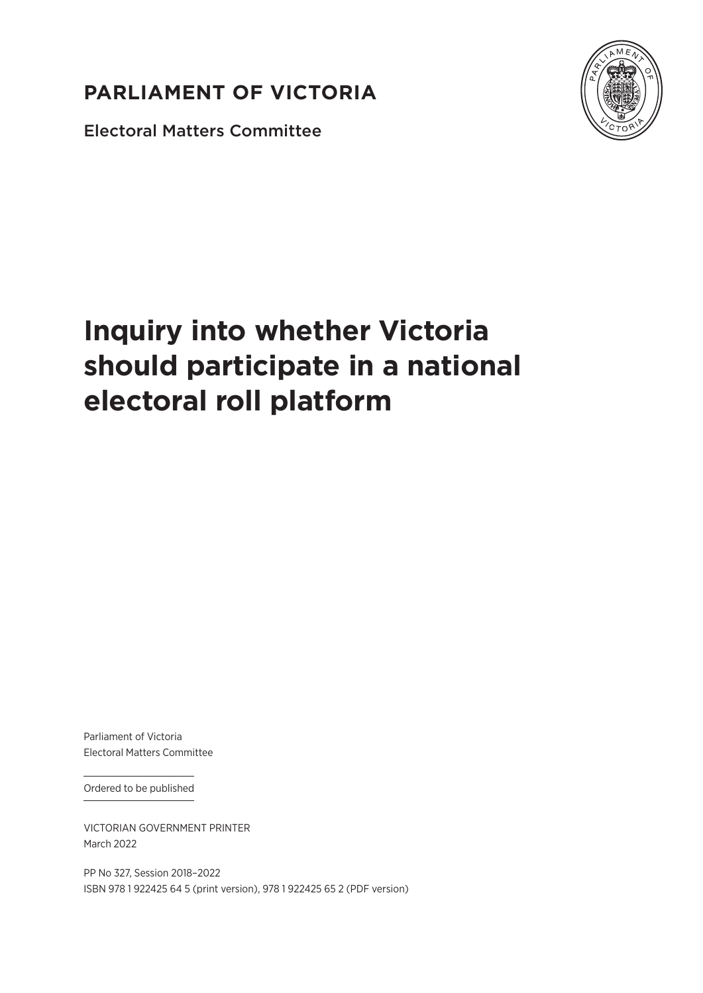**PARLIAMENT OF VICTORIA**

Electoral Matters Committee



# **Inquiry into whether Victoria should participate in a national electoral roll platform**

Parliament of Victoria Electoral Matters Committee

Ordered to be published

VICTORIAN GOVERNMENT PRINTER March 2022

PP No 327, Session 2018–2022 ISBN 978 1 922425 64 5 (print version), 978 1 922425 65 2 (PDF version)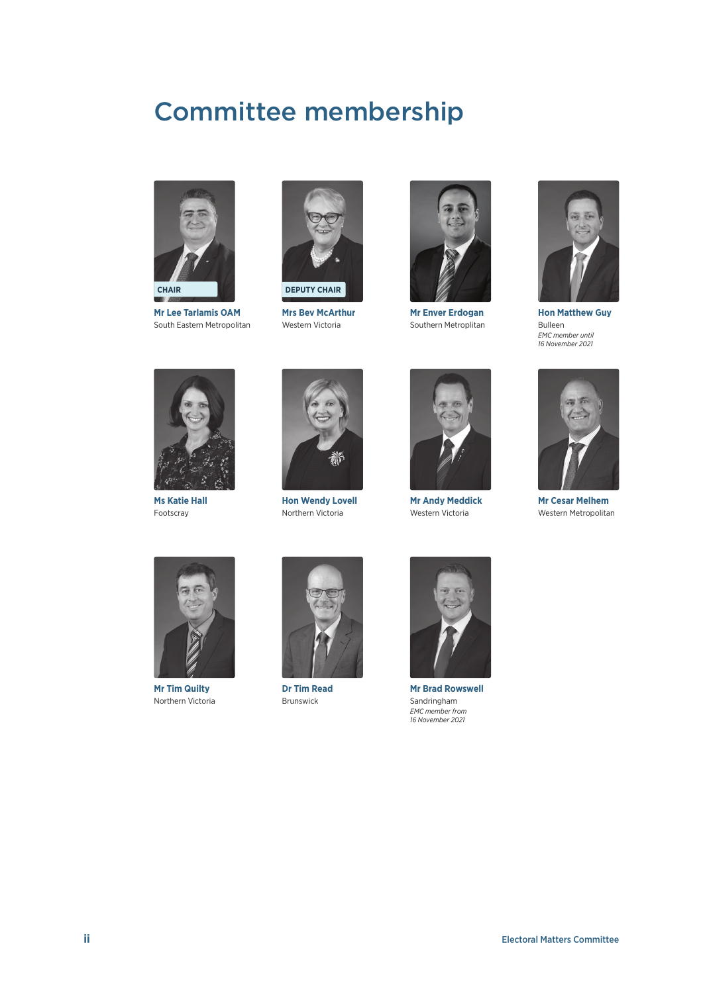## <span id="page-1-0"></span>Committee membership



**Mr Lee Tarlamis OAM** South Eastern Metropolitan



**Mrs Bev McArthur** Western Victoria



**Mr Enver Erdogan** Southern Metroplitan



**Hon Matthew Guy** Bulleen *EMC member until 16 November 2021*



**Ms Katie Hall** Footscray



**Hon Wendy Lovell** Northern Victoria



**Mr Andy Meddick** Western Victoria



**Mr Cesar Melhem** Western Metropolitan



**Mr Tim Quilty** Northern Victoria



**Dr Tim Read** Brunswick



**Mr Brad Rowswell** Sandringham *EMC member from 16 November 2021*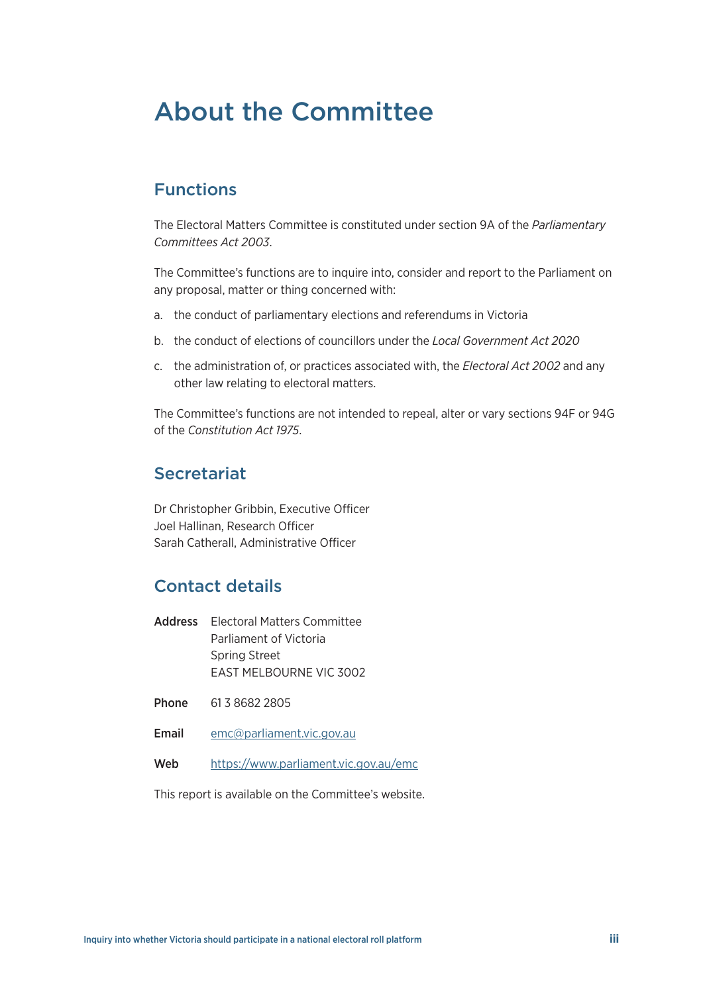## <span id="page-2-0"></span>About the Committee

## **Functions**

The Electoral Matters Committee is constituted under section 9A of the *Parliamentary Committees Act 2003*.

The Committee's functions are to inquire into, consider and report to the Parliament on any proposal, matter or thing concerned with:

- a. the conduct of parliamentary elections and referendums in Victoria
- b. the conduct of elections of councillors under the *Local Government Act 2020*
- c. the administration of, or practices associated with, the *Electoral Act 2002* and any other law relating to electoral matters.

The Committee's functions are not intended to repeal, alter or vary sections 94F or 94G of the *Constitution Act 1975*.

## Secretariat

Dr Christopher Gribbin, Executive Officer Joel Hallinan, Research Officer Sarah Catherall, Administrative Officer

## Contact details

- Address Electoral Matters Committee Parliament of Victoria Spring Street EAST MELBOURNE VIC 3002
- Phone 61 3 8682 2805
- Email [emc@parliament.vic.gov.au](mailto:emc@parliament.vic.gov.au)
- Web <https://www.parliament.vic.gov.au/emc>

This report is available on the Committee's website.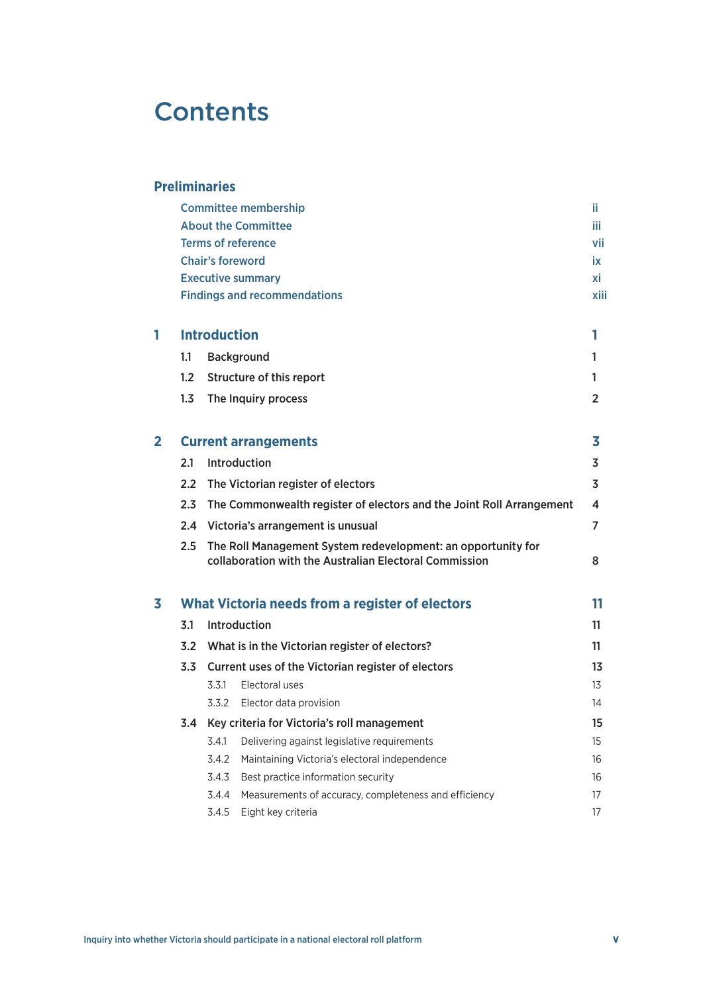## **Contents**

|                         |                                                           | <b>Preliminaries</b>                                                          |                                                                                                                        |      |  |
|-------------------------|-----------------------------------------------------------|-------------------------------------------------------------------------------|------------------------------------------------------------------------------------------------------------------------|------|--|
|                         |                                                           |                                                                               | <b>Committee membership</b>                                                                                            | ii.  |  |
|                         |                                                           | <b>About the Committee</b>                                                    |                                                                                                                        |      |  |
|                         |                                                           | <b>Terms of reference</b>                                                     |                                                                                                                        |      |  |
| <b>Chair's foreword</b> |                                                           |                                                                               |                                                                                                                        | İХ.  |  |
|                         |                                                           |                                                                               | <b>Executive summary</b>                                                                                               | хi   |  |
|                         |                                                           |                                                                               | <b>Findings and recommendations</b>                                                                                    | xiii |  |
| 1                       | <b>Introduction</b>                                       |                                                                               |                                                                                                                        |      |  |
|                         | 1.1                                                       |                                                                               | <b>Background</b>                                                                                                      | 1    |  |
|                         | 1.2 <sub>2</sub>                                          |                                                                               | Structure of this report                                                                                               | 1.   |  |
|                         | $1.3\phantom{0}$                                          |                                                                               | The Inquiry process                                                                                                    | 2    |  |
| $\mathbf{2}$            |                                                           | <b>Current arrangements</b>                                                   |                                                                                                                        |      |  |
|                         | 2.1                                                       |                                                                               | Introduction                                                                                                           | 3    |  |
|                         | 2.2                                                       |                                                                               | The Victorian register of electors                                                                                     | 3    |  |
|                         |                                                           | 2.3 The Commonwealth register of electors and the Joint Roll Arrangement<br>4 |                                                                                                                        |      |  |
|                         |                                                           |                                                                               | 2.4 Victoria's arrangement is unusual                                                                                  | 7    |  |
|                         | 2.5                                                       |                                                                               | The Roll Management System redevelopment: an opportunity for<br>collaboration with the Australian Electoral Commission | 8    |  |
| 3                       | What Victoria needs from a register of electors<br>11     |                                                                               |                                                                                                                        |      |  |
|                         | 3.1                                                       |                                                                               | Introduction                                                                                                           | 11   |  |
|                         |                                                           | 3.2 What is in the Victorian register of electors?                            |                                                                                                                        | 11   |  |
|                         | 3.3<br>Current uses of the Victorian register of electors |                                                                               |                                                                                                                        | 13   |  |
|                         |                                                           | 3.3.1                                                                         | Electoral uses                                                                                                         | 13   |  |
|                         |                                                           | 3.3.2                                                                         | Elector data provision                                                                                                 | 14   |  |
|                         | 3.4                                                       |                                                                               | Key criteria for Victoria's roll management                                                                            | 15   |  |
|                         |                                                           | 3.4.1                                                                         | Delivering against legislative requirements                                                                            | 15   |  |
|                         |                                                           | 3.4.2                                                                         | Maintaining Victoria's electoral independence                                                                          | 16   |  |
|                         |                                                           | 3.4.3                                                                         | Best practice information security                                                                                     | 16   |  |
|                         |                                                           | 3.4.4                                                                         | Measurements of accuracy, completeness and efficiency                                                                  | 17   |  |
|                         |                                                           | 3.4.5                                                                         | Eight key criteria                                                                                                     | 17   |  |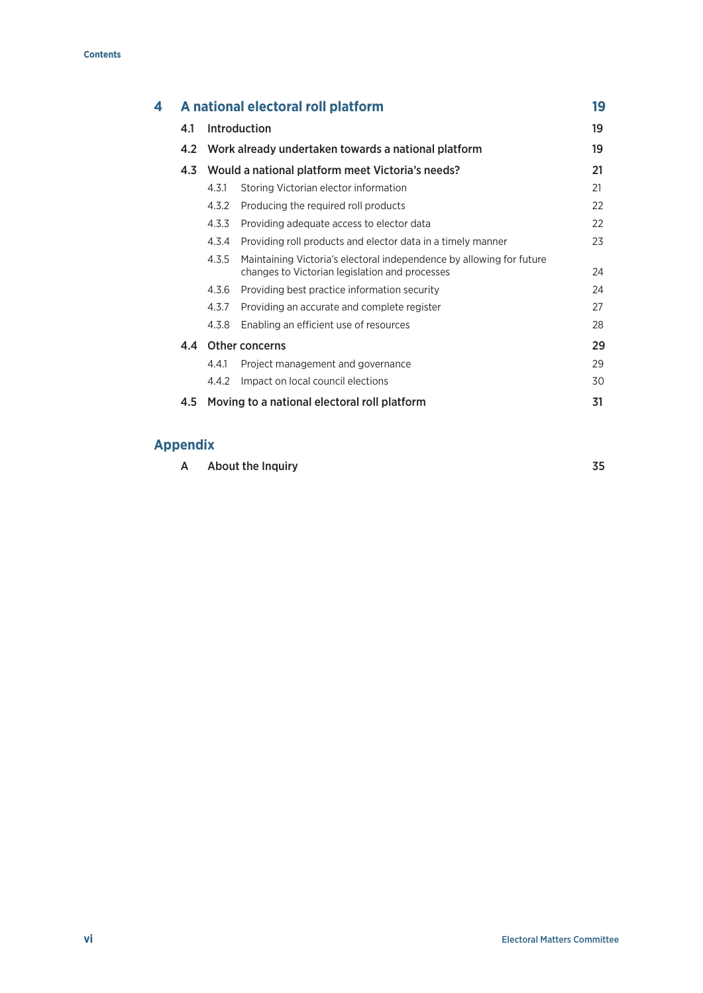| 4 | A national electoral roll platform |                                                                                                         | 19                                                                                                                     |          |
|---|------------------------------------|---------------------------------------------------------------------------------------------------------|------------------------------------------------------------------------------------------------------------------------|----------|
|   | 4.1                                |                                                                                                         | <b>Introduction</b>                                                                                                    |          |
|   | 4.2 <sub>1</sub><br>4.3            | Work already undertaken towards a national platform<br>Would a national platform meet Victoria's needs? |                                                                                                                        | 19<br>21 |
|   |                                    |                                                                                                         |                                                                                                                        |          |
|   |                                    | 4.3.1                                                                                                   | Storing Victorian elector information                                                                                  | 21       |
|   |                                    | 4.3.2                                                                                                   | Producing the required roll products                                                                                   | 22       |
|   |                                    | 4.3.3                                                                                                   | Providing adequate access to elector data                                                                              | 22       |
|   |                                    | 4.3.4                                                                                                   | Providing roll products and elector data in a timely manner                                                            | 23       |
|   |                                    | 4.3.5                                                                                                   | Maintaining Victoria's electoral independence by allowing for future<br>changes to Victorian legislation and processes | 24       |
|   |                                    | 4.3.6                                                                                                   | Providing best practice information security                                                                           | 24       |
|   |                                    | 4.3.7                                                                                                   | Providing an accurate and complete register                                                                            | 27       |
|   |                                    | 4.3.8                                                                                                   | Enabling an efficient use of resources                                                                                 | 28       |
|   | 44                                 | Other concerns                                                                                          |                                                                                                                        | 29       |
|   |                                    | 4.4.1                                                                                                   | Project management and governance                                                                                      | 29       |
|   |                                    | 4.4.2                                                                                                   | Impact on local council elections                                                                                      | 30       |
|   | 4.5                                |                                                                                                         | Moving to a national electoral roll platform                                                                           | 31       |

## **[Appendix](#page-48-0)**

| A | About the Inquiry |  |
|---|-------------------|--|
|---|-------------------|--|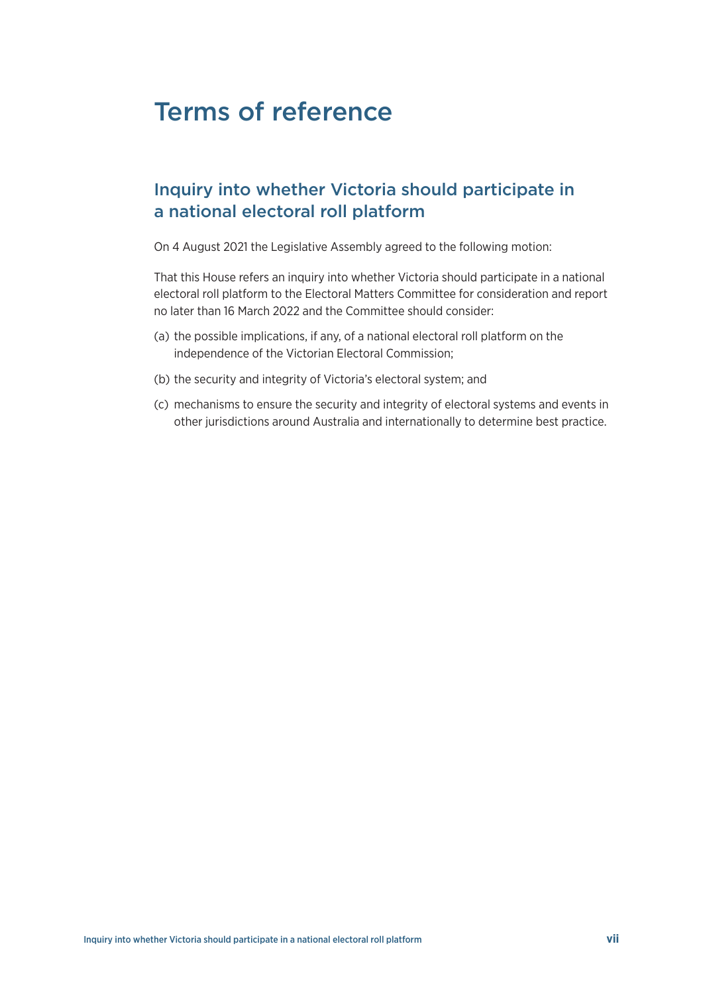## <span id="page-6-0"></span>Terms of reference

## Inquiry into whether Victoria should participate in a national electoral roll platform

On 4 August 2021 the Legislative Assembly agreed to the following motion:

That this House refers an inquiry into whether Victoria should participate in a national electoral roll platform to the Electoral Matters Committee for consideration and report no later than 16 March 2022 and the Committee should consider:

- (a) the possible implications, if any, of a national electoral roll platform on the independence of the Victorian Electoral Commission;
- (b) the security and integrity of Victoria's electoral system; and
- (c) mechanisms to ensure the security and integrity of electoral systems and events in other jurisdictions around Australia and internationally to determine best practice.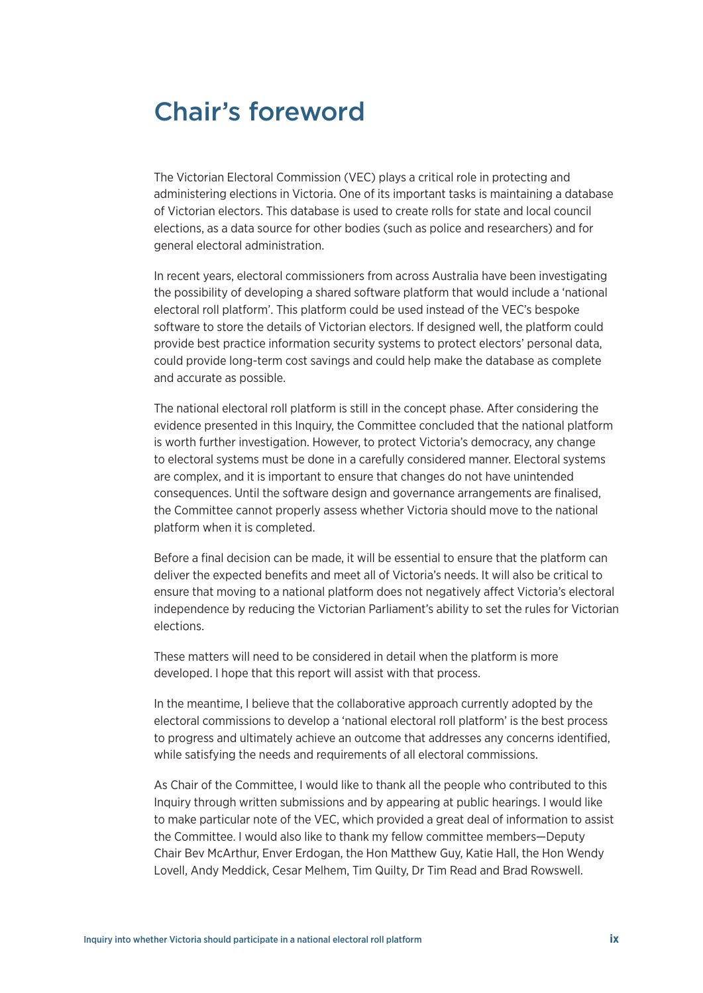## <span id="page-8-0"></span>Chair's foreword

The Victorian Electoral Commission (VEC) plays a critical role in protecting and administering elections in Victoria. One of its important tasks is maintaining a database of Victorian electors. This database is used to create rolls for state and local council elections, as a data source for other bodies (such as police and researchers) and for general electoral administration.

In recent years, electoral commissioners from across Australia have been investigating the possibility of developing a shared software platform that would include a 'national electoral roll platform'. This platform could be used instead of the VEC's bespoke software to store the details of Victorian electors. If designed well, the platform could provide best practice information security systems to protect electors' personal data, could provide long-term cost savings and could help make the database as complete and accurate as possible.

The national electoral roll platform is still in the concept phase. After considering the evidence presented in this Inquiry, the Committee concluded that the national platform is worth further investigation. However, to protect Victoria's democracy, any change to electoral systems must be done in a carefully considered manner. Electoral systems are complex, and it is important to ensure that changes do not have unintended consequences. Until the software design and governance arrangements are finalised, the Committee cannot properly assess whether Victoria should move to the national platform when it is completed.

Before a final decision can be made, it will be essential to ensure that the platform can deliver the expected benefits and meet all of Victoria's needs. It will also be critical to ensure that moving to a national platform does not negatively affect Victoria's electoral independence by reducing the Victorian Parliament's ability to set the rules for Victorian elections.

These matters will need to be considered in detail when the platform is more developed. I hope that this report will assist with that process.

In the meantime, I believe that the collaborative approach currently adopted by the electoral commissions to develop a 'national electoral roll platform' is the best process to progress and ultimately achieve an outcome that addresses any concerns identified, while satisfying the needs and requirements of all electoral commissions.

As Chair of the Committee, I would like to thank all the people who contributed to this Inquiry through written submissions and by appearing at public hearings. I would like to make particular note of the VEC, which provided a great deal of information to assist the Committee. I would also like to thank my fellow committee members—Deputy Chair Bev McArthur, Enver Erdogan, the Hon Matthew Guy, Katie Hall, the Hon Wendy Lovell, Andy Meddick, Cesar Melhem, Tim Quilty, Dr Tim Read and Brad Rowswell.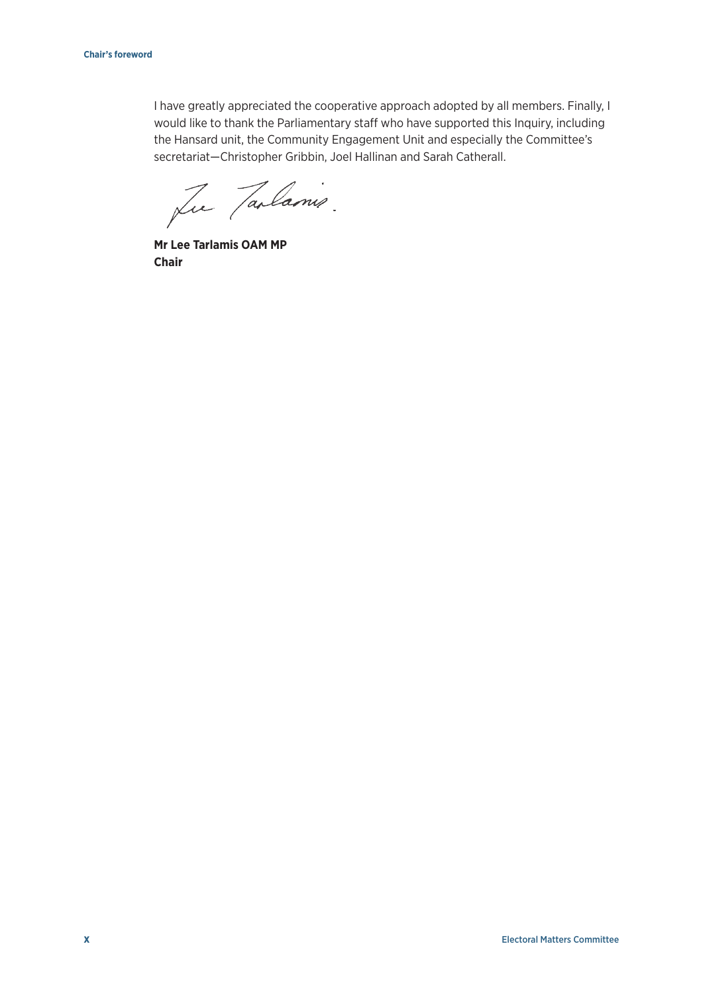I have greatly appreciated the cooperative approach adopted by all members. Finally, I would like to thank the Parliamentary staff who have supported this Inquiry, including the Hansard unit, the Community Engagement Unit and especially the Committee's secretariat—Christopher Gribbin, Joel Hallinan and Sarah Catherall.

Lu Tarlamis.

**Mr Lee Tarlamis OAM MP Chair**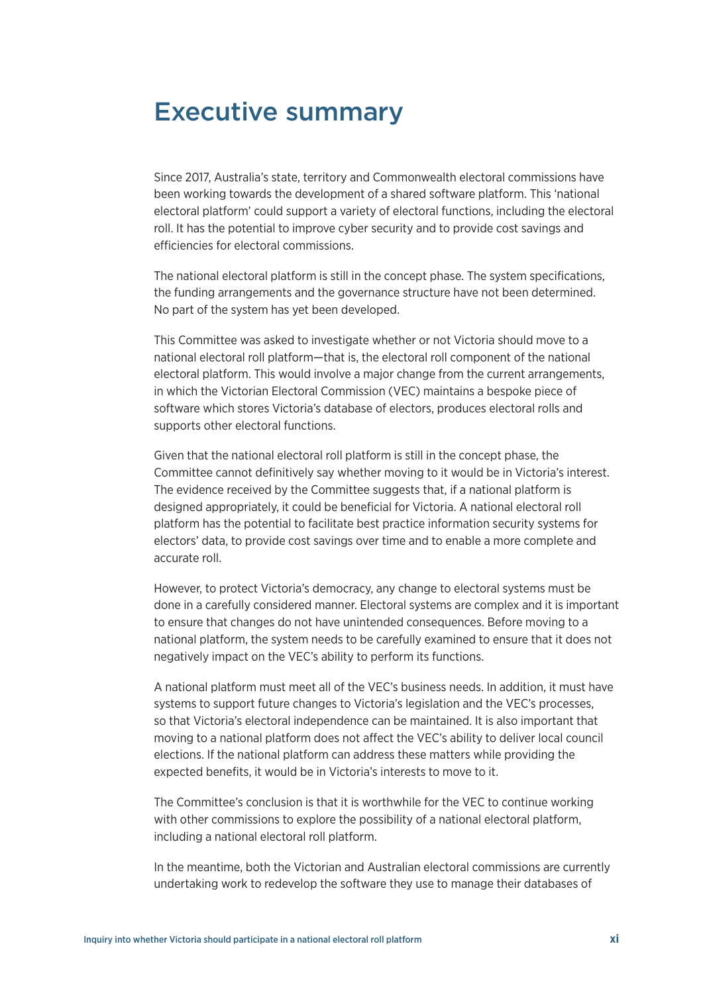## <span id="page-10-0"></span>Executive summary

Since 2017, Australia's state, territory and Commonwealth electoral commissions have been working towards the development of a shared software platform. This 'national electoral platform' could support a variety of electoral functions, including the electoral roll. It has the potential to improve cyber security and to provide cost savings and efficiencies for electoral commissions.

The national electoral platform is still in the concept phase. The system specifications, the funding arrangements and the governance structure have not been determined. No part of the system has yet been developed.

This Committee was asked to investigate whether or not Victoria should move to a national electoral roll platform—that is, the electoral roll component of the national electoral platform. This would involve a major change from the current arrangements, in which the Victorian Electoral Commission (VEC) maintains a bespoke piece of software which stores Victoria's database of electors, produces electoral rolls and supports other electoral functions.

Given that the national electoral roll platform is still in the concept phase, the Committee cannot definitively say whether moving to it would be in Victoria's interest. The evidence received by the Committee suggests that, if a national platform is designed appropriately, it could be beneficial for Victoria. A national electoral roll platform has the potential to facilitate best practice information security systems for electors' data, to provide cost savings over time and to enable a more complete and accurate roll.

However, to protect Victoria's democracy, any change to electoral systems must be done in a carefully considered manner. Electoral systems are complex and it is important to ensure that changes do not have unintended consequences. Before moving to a national platform, the system needs to be carefully examined to ensure that it does not negatively impact on the VEC's ability to perform its functions.

A national platform must meet all of the VEC's business needs. In addition, it must have systems to support future changes to Victoria's legislation and the VEC's processes, so that Victoria's electoral independence can be maintained. It is also important that moving to a national platform does not affect the VEC's ability to deliver local council elections. If the national platform can address these matters while providing the expected benefits, it would be in Victoria's interests to move to it.

The Committee's conclusion is that it is worthwhile for the VEC to continue working with other commissions to explore the possibility of a national electoral platform, including a national electoral roll platform.

In the meantime, both the Victorian and Australian electoral commissions are currently undertaking work to redevelop the software they use to manage their databases of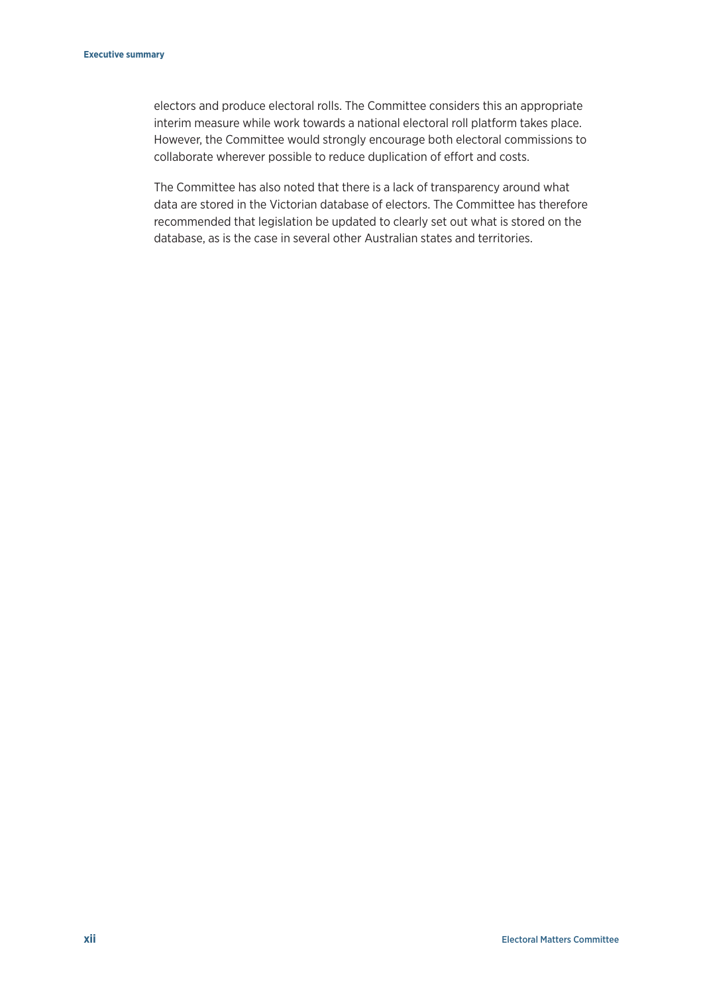electors and produce electoral rolls. The Committee considers this an appropriate interim measure while work towards a national electoral roll platform takes place. However, the Committee would strongly encourage both electoral commissions to collaborate wherever possible to reduce duplication of effort and costs.

The Committee has also noted that there is a lack of transparency around what data are stored in the Victorian database of electors. The Committee has therefore recommended that legislation be updated to clearly set out what is stored on the database, as is the case in several other Australian states and territories.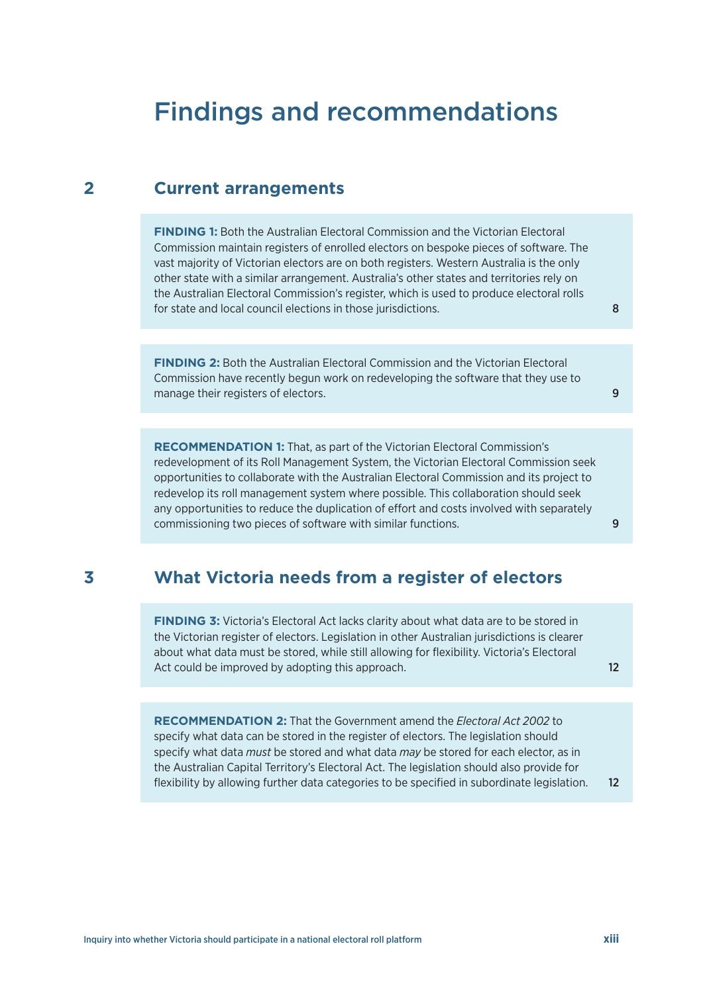## <span id="page-12-0"></span>Findings and recommendations

## **2 [Current arrangements](#page-16-0)**

**FINDING 1:** [Both the Australian Electoral Commission and the Victorian Electoral](#page-21-0)  [Commission maintain registers of enrolled electors on bespoke pieces of software. The](#page-21-0)  [vast majority of Victorian electors are on both registers. Western Australia is the only](#page-21-0)  [other state with a similar arrangement. Australia's other states and territories rely on](#page-21-0)  [the Australian Electoral Commission's register, which is used to produce electoral rolls](#page-21-0)  [for state and local council elections in those jurisdictions.](#page-21-0) 8

**FINDING 2:** [Both the Australian Electoral Commission and the Victorian Electoral](#page-22-0)  [Commission have recently begun work on redeveloping the software that they use to](#page-22-0)  [manage their registers of electors.](#page-22-0) **9** 

**RECOMMENDATION 1:** [That, as part of the Victorian Electoral Commission's](#page-22-0)  [redevelopment of its Roll Management System, the Victorian Electoral Commission seek](#page-22-0)  [opportunities to collaborate with the Australian Electoral Commission and its project to](#page-22-0)  [redevelop its roll management system where possible. This collaboration should seek](#page-22-0)  [any opportunities to reduce the duplication of effort and costs involved with separately](#page-22-0)  [commissioning two pieces of software with similar functions.](#page-22-0) 9

### **3 [What Victoria needs from a register of electors](#page-24-0)**

**FINDING 3:** Victoria's Electoral Act lacks clarity about what data are to be stored in [the Victorian register of electors. Legislation in other Australian jurisdictions is clearer](#page-25-0)  [about what data must be stored, while still allowing for flexibility. Victoria's Electoral](#page-25-0)  [Act could be improved by adopting this approach.](#page-25-0) 12

**RECOMMENDATION 2:** [That the Government amend the](#page-25-0) *Electoral Act 2002* to [specify what data can be stored in the register of electors. The legislation should](#page-25-0)  specify what data *must* be stored and what data *may* [be stored for each elector, as in](#page-25-0)  [the Australian Capital Territory's Electoral Act. The legislation should also provide for](#page-25-0)  [flexibility by allowing further data categories to be specified in subordinate legislation.](#page-25-0) 12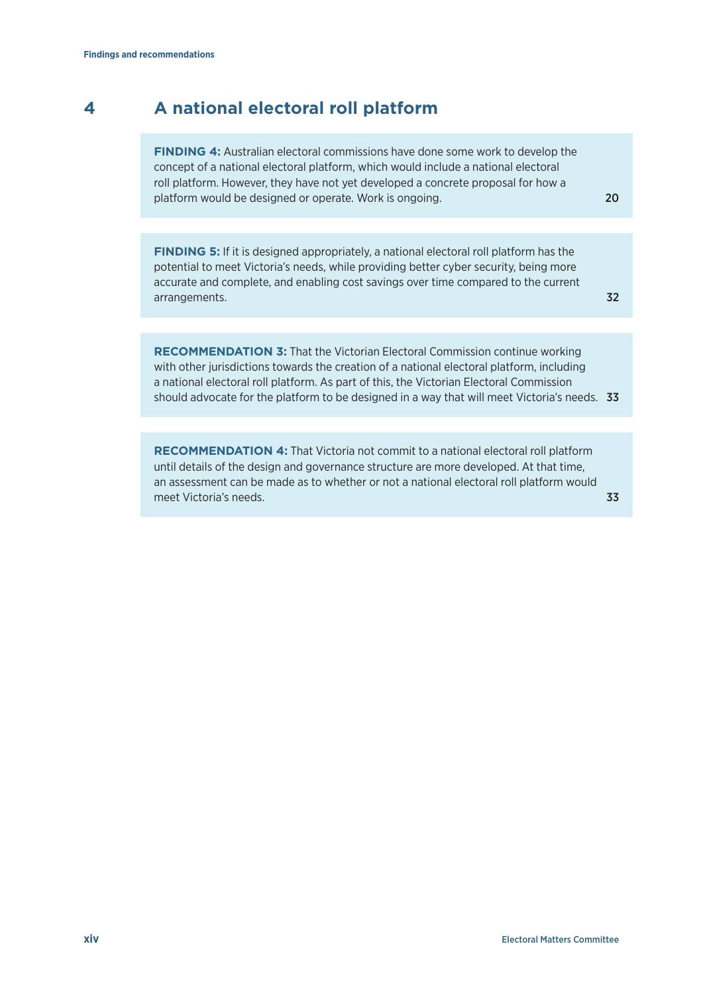## **4 [A national electoral roll platform](#page-32-0)**

**FINDING 4:** [Australian electoral commissions have done some work to develop the](#page-33-0)  [concept of a national electoral platform, which would include a national electoral](#page-33-0)  [roll platform. However, they have not yet developed a concrete proposal for how a](#page-33-0)  [platform would be designed or operate. Work is ongoing.](#page-33-0) 20

**FINDING 5:** If it is designed appropriately, a national electoral roll platform has the [potential to meet Victoria's needs, while providing better cyber security, being more](#page-45-0)  [accurate and complete, and enabling cost savings over time compared to the current](#page-45-0)  [arrangements.](#page-45-0) **32** 

**RECOMMENDATION 3:** [That the Victorian Electoral Commission continue working](#page-46-0)  [with other jurisdictions towards the creation of a national electoral platform, including](#page-46-0)  [a national electoral roll platform. As part of this, the Victorian Electoral Commission](#page-46-0)  [should advocate for the platform to be designed in a way that will meet Victoria's needs.](#page-46-0) 33

**RECOMMENDATION 4:** [That Victoria not commit to a national electoral roll platform](#page-46-0)  [until details of the design and governance structure are more developed. At that time,](#page-46-0)  [an assessment can be made as to whether or not a national electoral roll platform would](#page-46-0)  [meet Victoria's needs.](#page-46-0) 33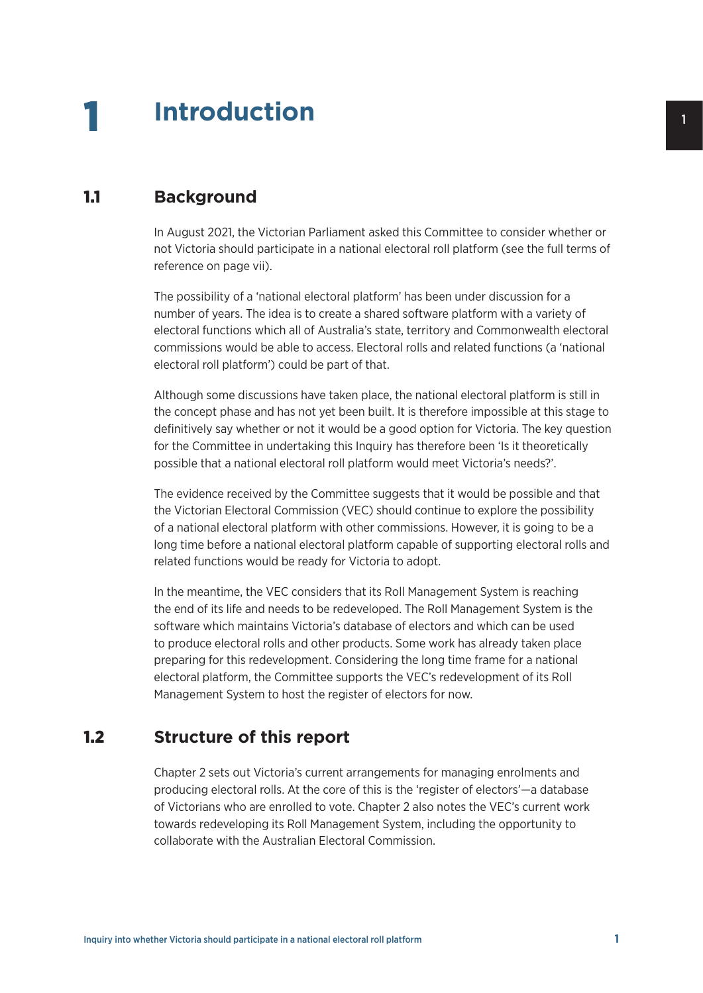<span id="page-14-0"></span>**Introduction 1.1 The set of the set of the set of the set of the set of the set of the set of the set of the set of the set of the set of the set of the set of the set of the set of the set of the set of the set of the** 

### 1.1 **Background**

In August 2021, the Victorian Parliament asked this Committee to consider whether or not Victoria should participate in a national electoral roll platform (see the full terms of reference on page vii).

The possibility of a 'national electoral platform' has been under discussion for a number of years. The idea is to create a shared software platform with a variety of electoral functions which all of Australia's state, territory and Commonwealth electoral commissions would be able to access. Electoral rolls and related functions (a 'national electoral roll platform') could be part of that.

Although some discussions have taken place, the national electoral platform is still in the concept phase and has not yet been built. It is therefore impossible at this stage to definitively say whether or not it would be a good option for Victoria. The key question for the Committee in undertaking this Inquiry has therefore been 'Is it theoretically possible that a national electoral roll platform would meet Victoria's needs?'.

The evidence received by the Committee suggests that it would be possible and that the Victorian Electoral Commission (VEC) should continue to explore the possibility of a national electoral platform with other commissions. However, it is going to be a long time before a national electoral platform capable of supporting electoral rolls and related functions would be ready for Victoria to adopt.

In the meantime, the VEC considers that its Roll Management System is reaching the end of its life and needs to be redeveloped. The Roll Management System is the software which maintains Victoria's database of electors and which can be used to produce electoral rolls and other products. Some work has already taken place preparing for this redevelopment. Considering the long time frame for a national electoral platform, the Committee supports the VEC's redevelopment of its Roll Management System to host the register of electors for now.

## 1.2 **Structure of this report**

Chapter 2 sets out Victoria's current arrangements for managing enrolments and producing electoral rolls. At the core of this is the 'register of electors'—a database of Victorians who are enrolled to vote. Chapter 2 also notes the VEC's current work towards redeveloping its Roll Management System, including the opportunity to collaborate with the Australian Electoral Commission.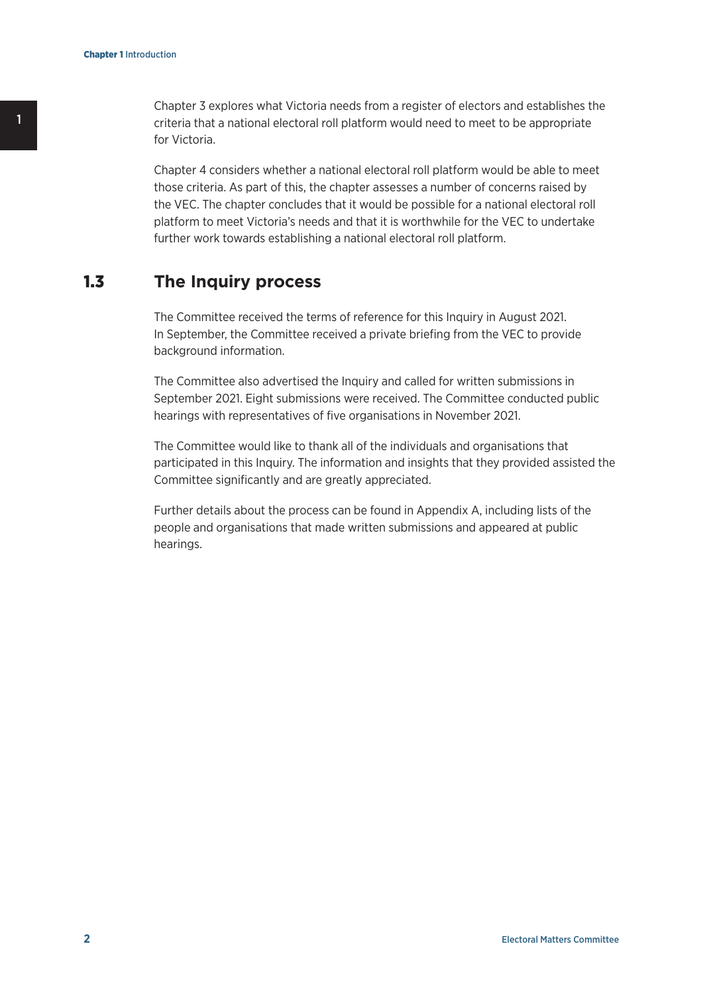<span id="page-15-0"></span>Chapter 3 explores what Victoria needs from a register of electors and establishes the criteria that a national electoral roll platform would need to meet to be appropriate for Victoria.

Chapter 4 considers whether a national electoral roll platform would be able to meet those criteria. As part of this, the chapter assesses a number of concerns raised by the VEC. The chapter concludes that it would be possible for a national electoral roll platform to meet Victoria's needs and that it is worthwhile for the VEC to undertake further work towards establishing a national electoral roll platform.

## 1.3 **The Inquiry process**

The Committee received the terms of reference for this Inquiry in August 2021. In September, the Committee received a private briefing from the VEC to provide background information.

The Committee also advertised the Inquiry and called for written submissions in September 2021. Eight submissions were received. The Committee conducted public hearings with representatives of five organisations in November 2021.

The Committee would like to thank all of the individuals and organisations that participated in this Inquiry. The information and insights that they provided assisted the Committee significantly and are greatly appreciated.

Further details about the process can be found in Appendix A, including lists of the people and organisations that made written submissions and appeared at public hearings.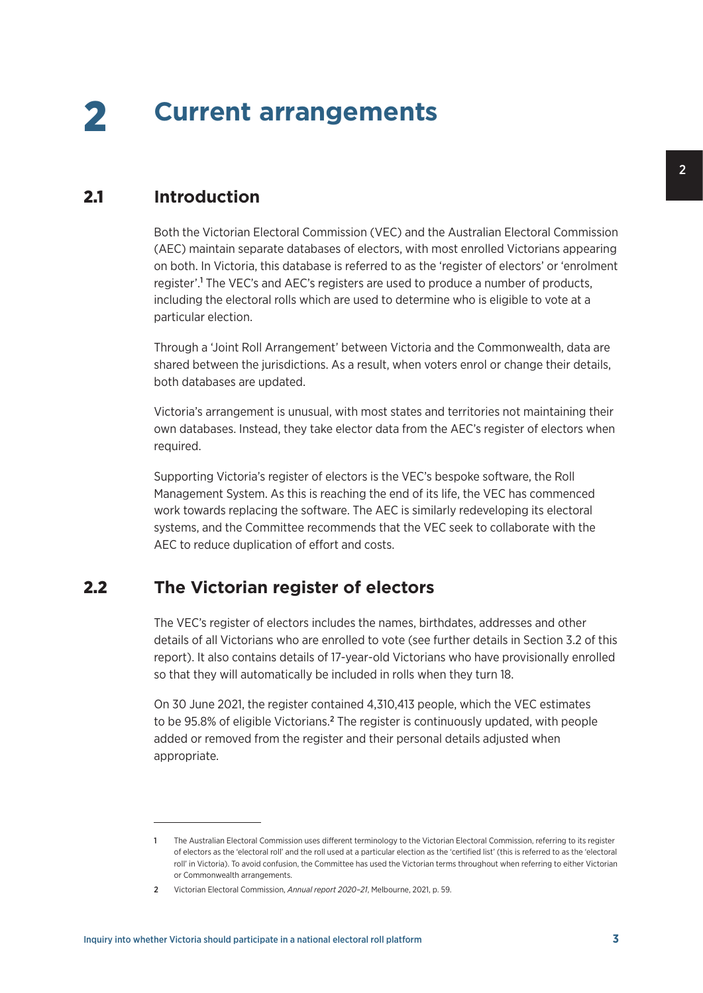<span id="page-16-0"></span>2 **Current arrangements**

## 2.1 **Introduction**

Both the Victorian Electoral Commission (VEC) and the Australian Electoral Commission (AEC) maintain separate databases of electors, with most enrolled Victorians appearing on both. In Victoria, this database is referred to as the 'register of electors' or 'enrolment register'.<sup>1</sup> The VEC's and AEC's registers are used to produce a number of products, including the electoral rolls which are used to determine who is eligible to vote at a particular election.

Through a 'Joint Roll Arrangement' between Victoria and the Commonwealth, data are shared between the jurisdictions. As a result, when voters enrol or change their details, both databases are updated.

Victoria's arrangement is unusual, with most states and territories not maintaining their own databases. Instead, they take elector data from the AEC's register of electors when required.

Supporting Victoria's register of electors is the VEC's bespoke software, the Roll Management System. As this is reaching the end of its life, the VEC has commenced work towards replacing the software. The AEC is similarly redeveloping its electoral systems, and the Committee recommends that the VEC seek to collaborate with the AEC to reduce duplication of effort and costs.

## 2.2 **The Victorian register of electors**

The VEC's register of electors includes the names, birthdates, addresses and other details of all Victorians who are enrolled to vote (see further details in Section 3.2 of this report). It also contains details of 17-year-old Victorians who have provisionally enrolled so that they will automatically be included in rolls when they turn 18.

On 30 June 2021, the register contained 4,310,413 people, which the VEC estimates to be 95.8% of eligible Victorians.<sup>2</sup> The register is continuously updated, with people added or removed from the register and their personal details adjusted when appropriate.

<sup>1</sup> The Australian Electoral Commission uses different terminology to the Victorian Electoral Commission, referring to its register of electors as the 'electoral roll' and the roll used at a particular election as the 'certified list' (this is referred to as the 'electoral roll' in Victoria). To avoid confusion, the Committee has used the Victorian terms throughout when referring to either Victorian or Commonwealth arrangements.

<sup>2</sup> Victorian Electoral Commission, *Annual report 2020–21*, Melbourne, 2021, p. 59.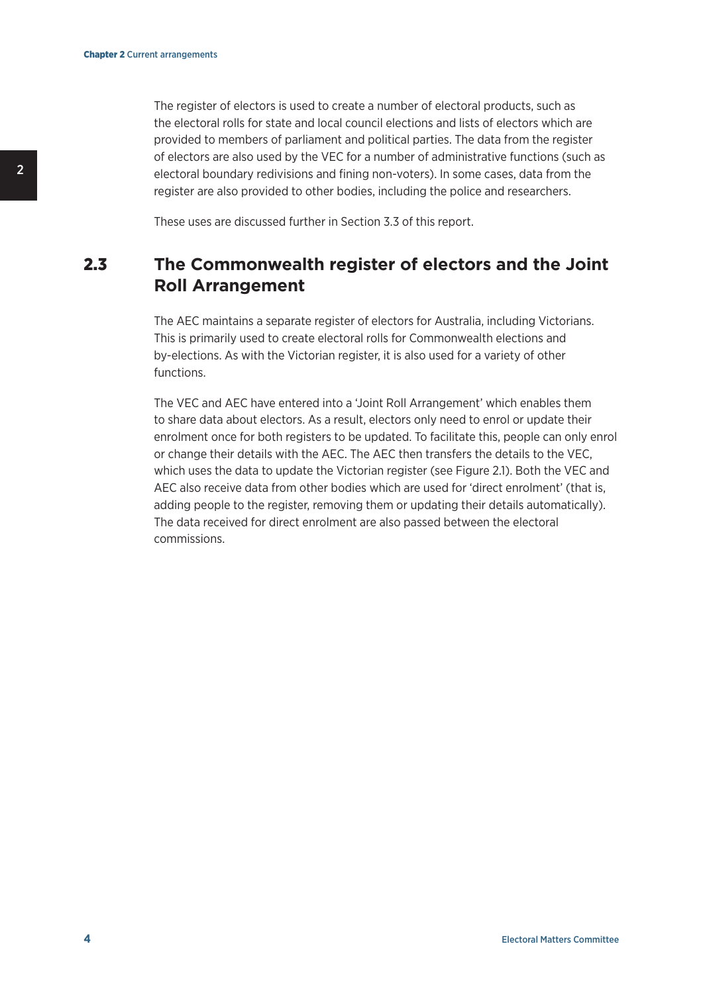<span id="page-17-0"></span>The register of electors is used to create a number of electoral products, such as the electoral rolls for state and local council elections and lists of electors which are provided to members of parliament and political parties. The data from the register of electors are also used by the VEC for a number of administrative functions (such as electoral boundary redivisions and fining non-voters). In some cases, data from the register are also provided to other bodies, including the police and researchers.

These uses are discussed further in Section 3.3 of this report.

## 2.3 **The Commonwealth register of electors and the Joint Roll Arrangement**

The AEC maintains a separate register of electors for Australia, including Victorians. This is primarily used to create electoral rolls for Commonwealth elections and by-elections. As with the Victorian register, it is also used for a variety of other functions.

The VEC and AEC have entered into a 'Joint Roll Arrangement' which enables them to share data about electors. As a result, electors only need to enrol or update their enrolment once for both registers to be updated. To facilitate this, people can only enrol or change their details with the AEC. The AEC then transfers the details to the VEC, which uses the data to update the Victorian register (see Figure 2.1). Both the VEC and AEC also receive data from other bodies which are used for 'direct enrolment' (that is, adding people to the register, removing them or updating their details automatically). The data received for direct enrolment are also passed between the electoral commissions.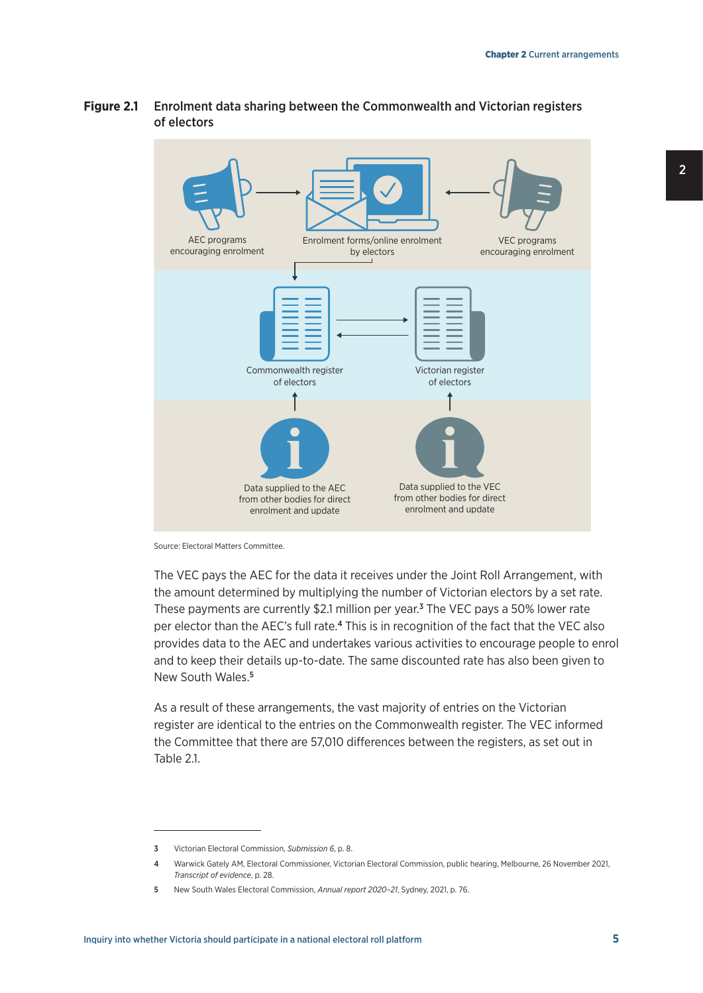#### **Figure 2.1** Enrolment data sharing between the Commonwealth and Victorian registers of electors



Source: Electoral Matters Committee.

The VEC pays the AEC for the data it receives under the Joint Roll Arrangement, with the amount determined by multiplying the number of Victorian electors by a set rate. These payments are currently \$2.1 million per year.<sup>3</sup> The VEC pays a 50% lower rate per elector than the AEC's full rate.<sup>4</sup> This is in recognition of the fact that the VEC also provides data to the AEC and undertakes various activities to encourage people to enrol and to keep their details up-to-date. The same discounted rate has also been given to New South Wales.<sup>5</sup>

As a result of these arrangements, the vast majority of entries on the Victorian register are identical to the entries on the Commonwealth register. The VEC informed the Committee that there are 57,010 differences between the registers, as set out in Table 21

<sup>3</sup> Victorian Electoral Commission, *Submission 6*, p. 8.

<sup>4</sup> Warwick Gately AM, Electoral Commissioner, Victorian Electoral Commission, public hearing, Melbourne, 26 November 2021, *Transcript of evidence*, p. 28.

<sup>5</sup> New South Wales Electoral Commission, *Annual report 2020–21*, Sydney, 2021, p. 76.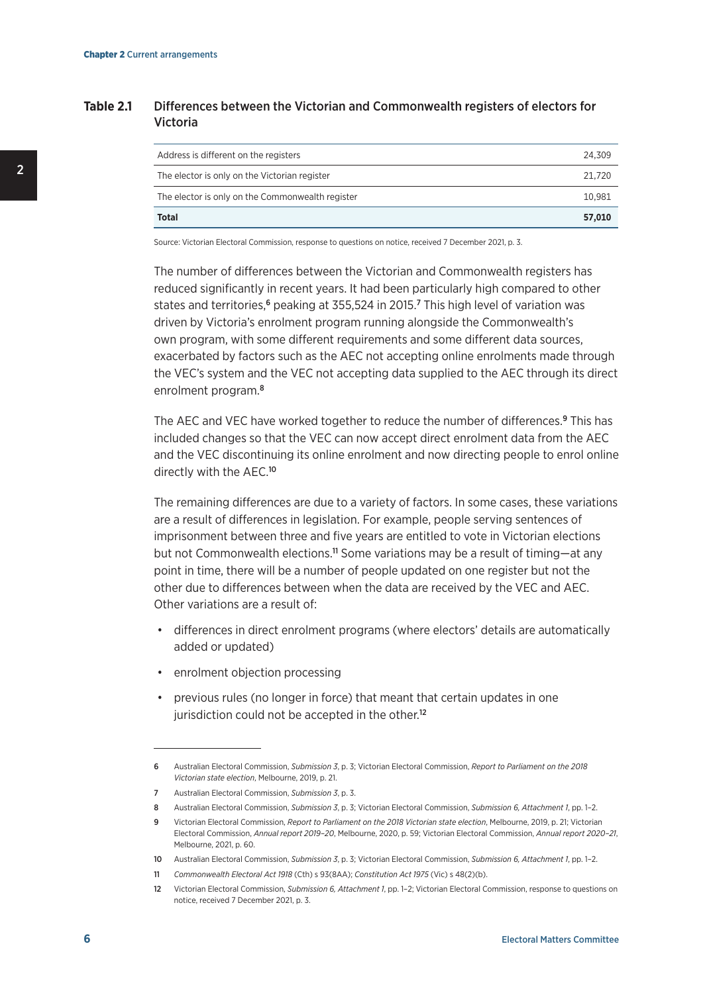#### **Table 2.1** Differences between the Victorian and Commonwealth registers of electors for Victoria

| Address is different on the registers            | 24.309 |
|--------------------------------------------------|--------|
| The elector is only on the Victorian register    | 21.720 |
| The elector is only on the Commonwealth register | 10.981 |
| <b>Total</b>                                     | 57,010 |

Source: Victorian Electoral Commission, response to questions on notice, received 7 December 2021, p. 3.

The number of differences between the Victorian and Commonwealth registers has reduced significantly in recent years. It had been particularly high compared to other states and territories,<sup>6</sup> peaking at 355,524 in 2015.<sup>7</sup> This high level of variation was driven by Victoria's enrolment program running alongside the Commonwealth's own program, with some different requirements and some different data sources, exacerbated by factors such as the AEC not accepting online enrolments made through the VEC's system and the VEC not accepting data supplied to the AEC through its direct enrolment program.<sup>8</sup>

The AEC and VEC have worked together to reduce the number of differences.<sup>9</sup> This has included changes so that the VEC can now accept direct enrolment data from the AEC and the VEC discontinuing its online enrolment and now directing people to enrol online directly with the AEC.<sup>10</sup>

The remaining differences are due to a variety of factors. In some cases, these variations are a result of differences in legislation. For example, people serving sentences of imprisonment between three and five years are entitled to vote in Victorian elections but not Commonwealth elections.<sup>11</sup> Some variations may be a result of timing—at any point in time, there will be a number of people updated on one register but not the other due to differences between when the data are received by the VEC and AEC. Other variations are a result of:

- differences in direct enrolment programs (where electors' details are automatically added or updated)
- enrolment objection processing
- previous rules (no longer in force) that meant that certain updates in one jurisdiction could not be accepted in the other.<sup>12</sup>

2

<sup>6</sup> Australian Electoral Commission, *Submission 3*, p. 3; Victorian Electoral Commission, *Report to Parliament on the 2018 Victorian state election*, Melbourne, 2019, p. 21.

<sup>7</sup> Australian Electoral Commission, *Submission 3*, p. 3.

<sup>8</sup> Australian Electoral Commission, *Submission 3*, p. 3; Victorian Electoral Commission, *Submission 6, Attachment 1*, pp. 1–2.

<sup>9</sup> Victorian Electoral Commission, *Report to Parliament on the 2018 Victorian state election*, Melbourne, 2019, p. 21; Victorian Electoral Commission, *Annual report 2019–20*, Melbourne, 2020, p. 59; Victorian Electoral Commission, *Annual report 2020–21*, Melbourne, 2021, p. 60.

<sup>10</sup> Australian Electoral Commission, *Submission 3*, p. 3; Victorian Electoral Commission, *Submission 6, Attachment 1*, pp. 1–2.

<sup>11</sup> *Commonwealth Electoral Act 1918* (Cth) s 93(8AA); *Constitution Act 1975* (Vic) s 48(2)(b).

<sup>12</sup> Victorian Electoral Commission, *Submission 6, Attachment 1*, pp. 1–2; Victorian Electoral Commission, response to questions on notice, received 7 December 2021, p. 3.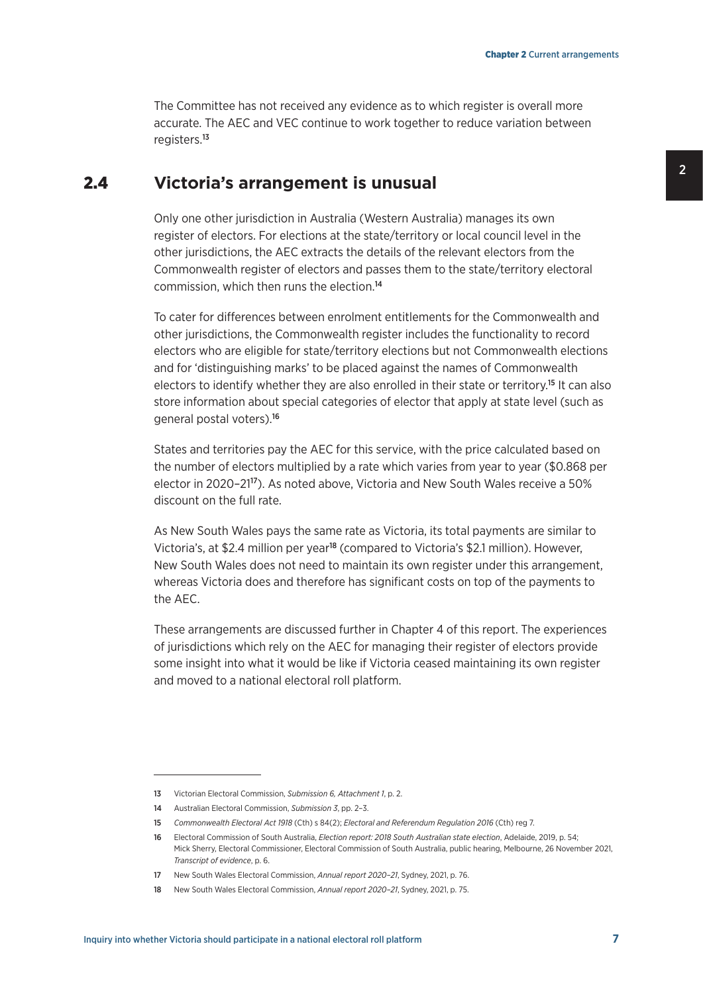<span id="page-20-0"></span>The Committee has not received any evidence as to which register is overall more accurate. The AEC and VEC continue to work together to reduce variation between registers.<sup>13</sup>

## 2.4 **Victoria's arrangement is unusual**

Only one other jurisdiction in Australia (Western Australia) manages its own register of electors. For elections at the state/territory or local council level in the other jurisdictions, the AEC extracts the details of the relevant electors from the Commonwealth register of electors and passes them to the state/territory electoral commission, which then runs the election.<sup>14</sup>

To cater for differences between enrolment entitlements for the Commonwealth and other jurisdictions, the Commonwealth register includes the functionality to record electors who are eligible for state/territory elections but not Commonwealth elections and for 'distinguishing marks' to be placed against the names of Commonwealth electors to identify whether they are also enrolled in their state or territory.<sup>15</sup> It can also store information about special categories of elector that apply at state level (such as general postal voters).<sup>16</sup>

States and territories pay the AEC for this service, with the price calculated based on the number of electors multiplied by a rate which varies from year to year (\$0.868 per elector in 2020–21<sup>17</sup>). As noted above, Victoria and New South Wales receive a 50% discount on the full rate.

As New South Wales pays the same rate as Victoria, its total payments are similar to Victoria's, at \$2.4 million per year<sup>18</sup> (compared to Victoria's \$2.1 million). However, New South Wales does not need to maintain its own register under this arrangement, whereas Victoria does and therefore has significant costs on top of the payments to the AEC.

These arrangements are discussed further in Chapter 4 of this report. The experiences of jurisdictions which rely on the AEC for managing their register of electors provide some insight into what it would be like if Victoria ceased maintaining its own register and moved to a national electoral roll platform.

<sup>13</sup> Victorian Electoral Commission, *Submission 6, Attachment 1*, p. 2.

<sup>14</sup> Australian Electoral Commission, *Submission 3*, pp. 2–3.

<sup>15</sup> *Commonwealth Electoral Act 1918* (Cth) s 84(2); *Electoral and Referendum Regulation 2016* (Cth) reg 7.

<sup>16</sup> Electoral Commission of South Australia, *Election report: 2018 South Australian state election*, Adelaide, 2019, p. 54; Mick Sherry, Electoral Commissioner, Electoral Commission of South Australia, public hearing, Melbourne, 26 November 2021, *Transcript of evidence*, p. 6.

<sup>17</sup> New South Wales Electoral Commission, *Annual report 2020–21*, Sydney, 2021, p. 76.

<sup>18</sup> New South Wales Electoral Commission, *Annual report 2020–21*, Sydney, 2021, p. 75.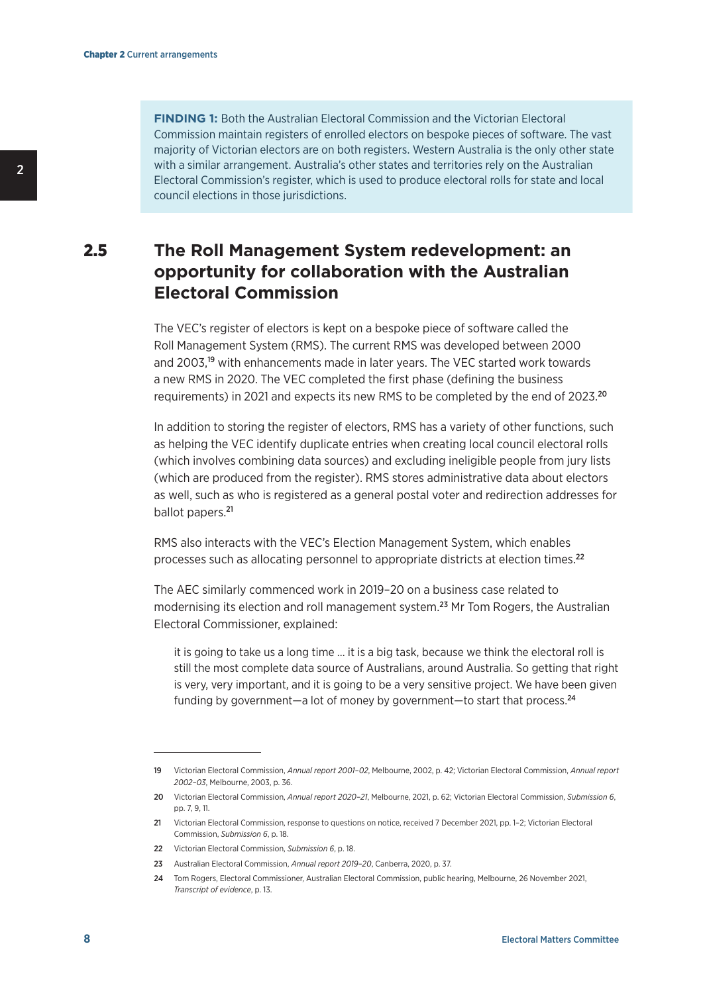<span id="page-21-0"></span>**FINDING 1:** Both the Australian Electoral Commission and the Victorian Electoral Commission maintain registers of enrolled electors on bespoke pieces of software. The vast majority of Victorian electors are on both registers. Western Australia is the only other state with a similar arrangement. Australia's other states and territories rely on the Australian Electoral Commission's register, which is used to produce electoral rolls for state and local council elections in those jurisdictions.

## 2.5 **The Roll Management System redevelopment: an opportunity for collaboration with the Australian Electoral Commission**

The VEC's register of electors is kept on a bespoke piece of software called the Roll Management System (RMS). The current RMS was developed between 2000 and 2003,<sup>19</sup> with enhancements made in later years. The VEC started work towards a new RMS in 2020. The VEC completed the first phase (defining the business requirements) in 2021 and expects its new RMS to be completed by the end of 2023.<sup>20</sup>

In addition to storing the register of electors, RMS has a variety of other functions, such as helping the VEC identify duplicate entries when creating local council electoral rolls (which involves combining data sources) and excluding ineligible people from jury lists (which are produced from the register). RMS stores administrative data about electors as well, such as who is registered as a general postal voter and redirection addresses for ballot papers.<sup>21</sup>

RMS also interacts with the VEC's Election Management System, which enables processes such as allocating personnel to appropriate districts at election times.<sup>22</sup>

The AEC similarly commenced work in 2019–20 on a business case related to modernising its election and roll management system.<sup>23</sup> Mr Tom Rogers, the Australian Electoral Commissioner, explained:

it is going to take us a long time … it is a big task, because we think the electoral roll is still the most complete data source of Australians, around Australia. So getting that right is very, very important, and it is going to be a very sensitive project. We have been given funding by government—a lot of money by government—to start that process.<sup>24</sup>

<sup>19</sup> Victorian Electoral Commission, *Annual report 2001–02*, Melbourne, 2002, p. 42; Victorian Electoral Commission, *Annual report 2002–03*, Melbourne, 2003, p. 36.

<sup>20</sup> Victorian Electoral Commission, *Annual report 2020–21*, Melbourne, 2021, p. 62; Victorian Electoral Commission, *Submission 6*, pp. 7, 9, 11.

<sup>21</sup> Victorian Electoral Commission, response to questions on notice, received 7 December 2021, pp. 1–2; Victorian Electoral Commission, *Submission 6*, p. 18.

<sup>22</sup> Victorian Electoral Commission, *Submission 6*, p. 18.

<sup>23</sup> Australian Electoral Commission, *Annual report 2019–20*, Canberra, 2020, p. 37.

<sup>24</sup> Tom Rogers, Electoral Commissioner, Australian Electoral Commission, public hearing, Melbourne, 26 November 2021, *Transcript of evidence*, p. 13.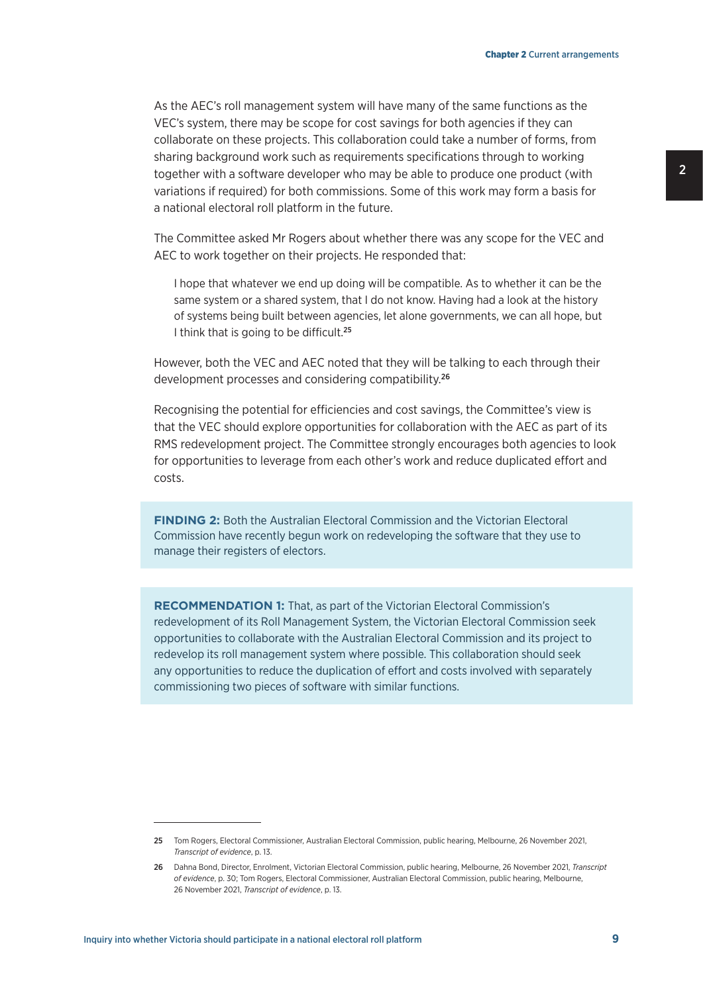<span id="page-22-0"></span>As the AEC's roll management system will have many of the same functions as the VEC's system, there may be scope for cost savings for both agencies if they can collaborate on these projects. This collaboration could take a number of forms, from sharing background work such as requirements specifications through to working together with a software developer who may be able to produce one product (with variations if required) for both commissions. Some of this work may form a basis for a national electoral roll platform in the future.

The Committee asked Mr Rogers about whether there was any scope for the VEC and AEC to work together on their projects. He responded that:

I hope that whatever we end up doing will be compatible. As to whether it can be the same system or a shared system, that I do not know. Having had a look at the history of systems being built between agencies, let alone governments, we can all hope, but I think that is going to be difficult.<sup>25</sup>

However, both the VEC and AEC noted that they will be talking to each through their development processes and considering compatibility.<sup>26</sup>

Recognising the potential for efficiencies and cost savings, the Committee's view is that the VEC should explore opportunities for collaboration with the AEC as part of its RMS redevelopment project. The Committee strongly encourages both agencies to look for opportunities to leverage from each other's work and reduce duplicated effort and costs.

**FINDING 2:** Both the Australian Electoral Commission and the Victorian Electoral Commission have recently begun work on redeveloping the software that they use to manage their registers of electors.

**RECOMMENDATION 1:** That, as part of the Victorian Electoral Commission's redevelopment of its Roll Management System, the Victorian Electoral Commission seek opportunities to collaborate with the Australian Electoral Commission and its project to redevelop its roll management system where possible. This collaboration should seek any opportunities to reduce the duplication of effort and costs involved with separately commissioning two pieces of software with similar functions.

<sup>25</sup> Tom Rogers, Electoral Commissioner, Australian Electoral Commission, public hearing, Melbourne, 26 November 2021, *Transcript of evidence*, p. 13.

<sup>26</sup> Dahna Bond, Director, Enrolment, Victorian Electoral Commission, public hearing, Melbourne, 26 November 2021, *Transcript of evidence*, p. 30; Tom Rogers, Electoral Commissioner, Australian Electoral Commission, public hearing, Melbourne, 26 November 2021, *Transcript of evidence*, p. 13.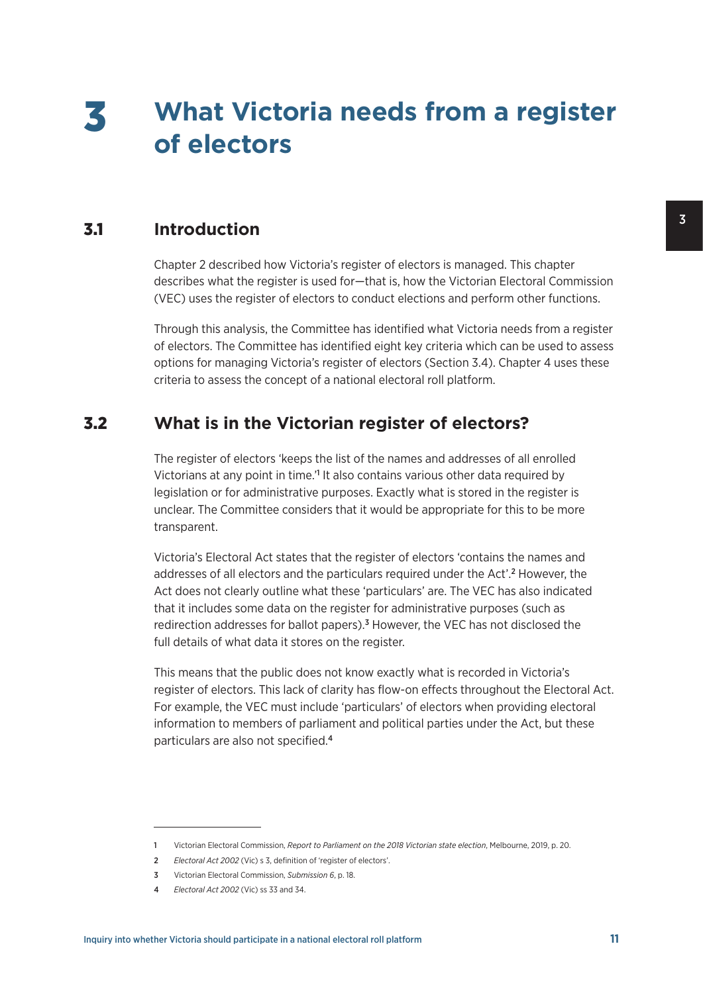## <span id="page-24-0"></span>3 **What Victoria needs from a register of electors**

## 3.1 **Introduction**

Chapter 2 described how Victoria's register of electors is managed. This chapter describes what the register is used for—that is, how the Victorian Electoral Commission (VEC) uses the register of electors to conduct elections and perform other functions.

Through this analysis, the Committee has identified what Victoria needs from a register of electors. The Committee has identified eight key criteria which can be used to assess options for managing Victoria's register of electors (Section 3.4). Chapter 4 uses these criteria to assess the concept of a national electoral roll platform.

## 3.2 **What is in the Victorian register of electors?**

The register of electors 'keeps the list of the names and addresses of all enrolled Victorians at any point in time.' It also contains various other data required by legislation or for administrative purposes. Exactly what is stored in the register is unclear. The Committee considers that it would be appropriate for this to be more transparent.

Victoria's Electoral Act states that the register of electors 'contains the names and addresses of all electors and the particulars required under the Act'.<sup>2</sup> However, the Act does not clearly outline what these 'particulars' are. The VEC has also indicated that it includes some data on the register for administrative purposes (such as redirection addresses for ballot papers).<sup>3</sup> However, the VEC has not disclosed the full details of what data it stores on the register.

This means that the public does not know exactly what is recorded in Victoria's register of electors. This lack of clarity has flow-on effects throughout the Electoral Act. For example, the VEC must include 'particulars' of electors when providing electoral information to members of parliament and political parties under the Act, but these particulars are also not specified.<sup>4</sup>

<sup>1</sup> Victorian Electoral Commission, *Report to Parliament on the 2018 Victorian state election*, Melbourne, 2019, p. 20.

<sup>2</sup> *Electoral Act 2002* (Vic) s 3, definition of 'register of electors'.

<sup>3</sup> Victorian Electoral Commission, *Submission 6*, p. 18.

<sup>4</sup> *Electoral Act 2002* (Vic) ss 33 and 34.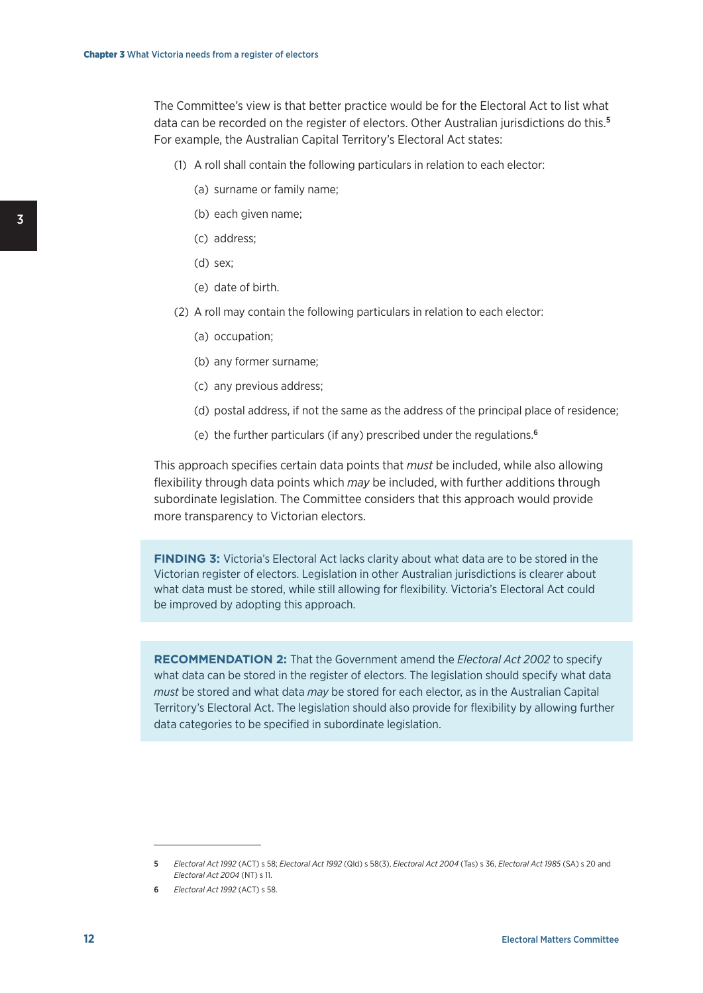<span id="page-25-0"></span>The Committee's view is that better practice would be for the Electoral Act to list what data can be recorded on the register of electors. Other Australian jurisdictions do this.<sup>5</sup> For example, the Australian Capital Territory's Electoral Act states:

- (1) A roll shall contain the following particulars in relation to each elector:
	- (a) surname or family name;
	- (b) each given name;
	- (c) address;
	- (d) sex;
	- (e) date of birth.
- (2) A roll may contain the following particulars in relation to each elector:
	- (a) occupation;
	- (b) any former surname;
	- (c) any previous address;
	- (d) postal address, if not the same as the address of the principal place of residence;
	- (e) the further particulars (if any) prescribed under the regulations.<sup>6</sup>

This approach specifies certain data points that *must* be included, while also allowing flexibility through data points which *may* be included, with further additions through subordinate legislation. The Committee considers that this approach would provide more transparency to Victorian electors.

**FINDING 3:** Victoria's Electoral Act lacks clarity about what data are to be stored in the Victorian register of electors. Legislation in other Australian jurisdictions is clearer about what data must be stored, while still allowing for flexibility. Victoria's Electoral Act could be improved by adopting this approach.

**Recommendation 2:** That the Government amend the *Electoral Act 2002* to specify what data can be stored in the register of electors. The legislation should specify what data *must* be stored and what data *may* be stored for each elector, as in the Australian Capital Territory's Electoral Act. The legislation should also provide for flexibility by allowing further data categories to be specified in subordinate legislation.

<sup>5</sup> *Electoral Act 1992* (ACT) s 58; *Electoral Act 1992* (Qld) s 58(3), *Electoral Act 2004* (Tas) s 36, *Electoral Act 1985* (SA) s 20 and *Electoral Act 2004* (NT) s 11.

<sup>6</sup> *Electoral Act 1992* (ACT) s 58.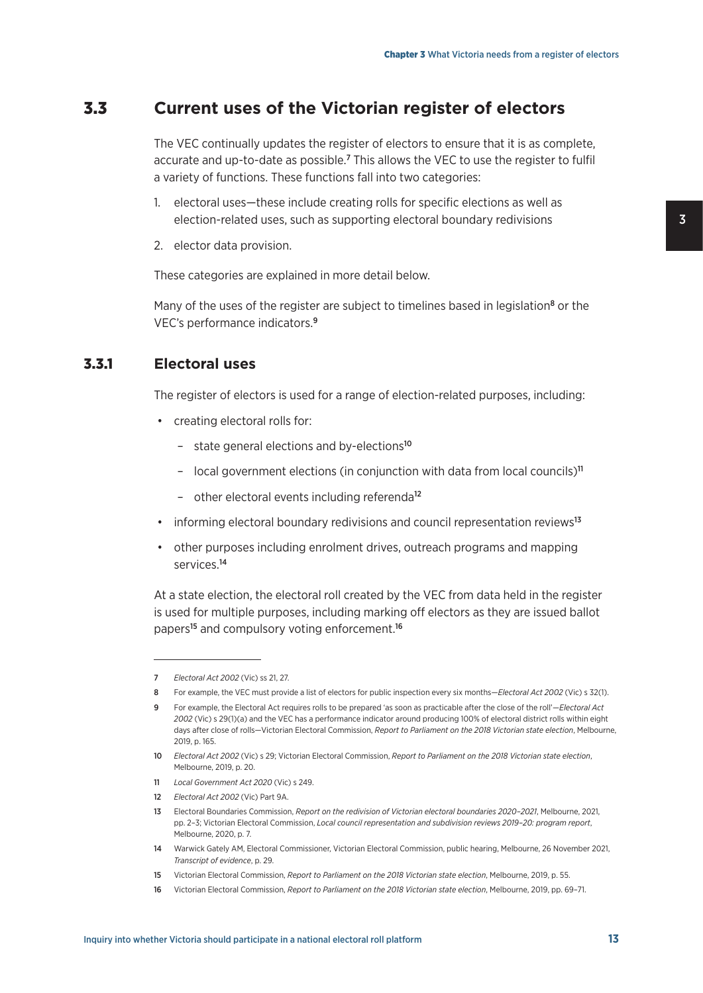## <span id="page-26-0"></span>3.3 **Current uses of the Victorian register of electors**

The VEC continually updates the register of electors to ensure that it is as complete, accurate and up-to-date as possible.<sup>7</sup> This allows the VEC to use the register to fulfil a variety of functions. These functions fall into two categories:

- 1. electoral uses—these include creating rolls for specific elections as well as election-related uses, such as supporting electoral boundary redivisions
- 2. elector data provision.

These categories are explained in more detail below.

Many of the uses of the register are subject to timelines based in legislation<sup>8</sup> or the VEC's performance indicators.<sup>9</sup>

#### 3.3.1 **Electoral uses**

The register of electors is used for a range of election-related purposes, including:

- creating electoral rolls for:
	- state general elections and by-elections<sup>10</sup>
	- local government elections (in conjunction with data from local councils)<sup>11</sup>
	- other electoral events including referenda<sup>12</sup>
- informing electoral boundary redivisions and council representation reviews<sup>13</sup>
- other purposes including enrolment drives, outreach programs and mapping services.<sup>14</sup>

At a state election, the electoral roll created by the VEC from data held in the register is used for multiple purposes, including marking off electors as they are issued ballot papers<sup>15</sup> and compulsory voting enforcement.<sup>16</sup>

<sup>7</sup> *Electoral Act 2002* (Vic) ss 21, 27.

<sup>8</sup> For example, the VEC must provide a list of electors for public inspection every six months—*Electoral Act 2002* (Vic) s 32(1).

<sup>9</sup> For example, the Electoral Act requires rolls to be prepared 'as soon as practicable after the close of the roll'—*Electoral Act 2002* (Vic) s 29(1)(a) and the VEC has a performance indicator around producing 100% of electoral district rolls within eight days after close of rolls—Victorian Electoral Commission, *Report to Parliament on the 2018 Victorian state election*, Melbourne, 2019, p. 165.

<sup>10</sup> *Electoral Act 2002* (Vic) s 29; Victorian Electoral Commission, *Report to Parliament on the 2018 Victorian state election*, Melbourne, 2019, p. 20.

<sup>11</sup> *Local Government Act 2020* (Vic) s 249.

<sup>12</sup> *Electoral Act 2002* (Vic) Part 9A.

<sup>13</sup> Electoral Boundaries Commission, *Report on the redivision of Victorian electoral boundaries 2020–2021*, Melbourne, 2021, pp. 2–3; Victorian Electoral Commission, *Local council representation and subdivision reviews 2019–20: program report*, Melbourne, 2020, p. 7.

<sup>14</sup> Warwick Gately AM, Electoral Commissioner, Victorian Electoral Commission, public hearing, Melbourne, 26 November 2021, *Transcript of evidence*, p. 29.

<sup>15</sup> Victorian Electoral Commission, *Report to Parliament on the 2018 Victorian state election*, Melbourne, 2019, p. 55.

<sup>16</sup> Victorian Electoral Commission, *Report to Parliament on the 2018 Victorian state election*, Melbourne, 2019, pp. 69–71.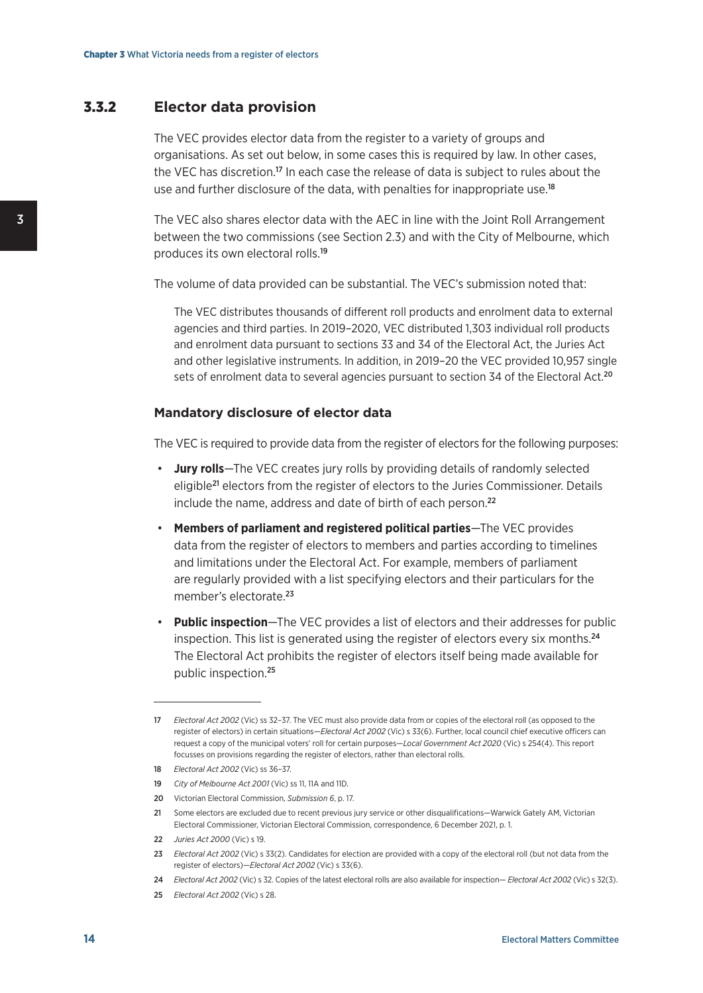#### <span id="page-27-0"></span>3.3.2 **Elector data provision**

The VEC provides elector data from the register to a variety of groups and organisations. As set out below, in some cases this is required by law. In other cases, the VEC has discretion.<sup>17</sup> In each case the release of data is subject to rules about the use and further disclosure of the data, with penalties for inappropriate use.<sup>18</sup>

The VEC also shares elector data with the AEC in line with the Joint Roll Arrangement between the two commissions (see Section 2.3) and with the City of Melbourne, which produces its own electoral rolls.<sup>19</sup>

The volume of data provided can be substantial. The VEC's submission noted that:

The VEC distributes thousands of different roll products and enrolment data to external agencies and third parties. In 2019–2020, VEC distributed 1,303 individual roll products and enrolment data pursuant to sections 33 and 34 of the Electoral Act, the Juries Act and other legislative instruments. In addition, in 2019–20 the VEC provided 10,957 single sets of enrolment data to several agencies pursuant to section 34 of the Electoral Act.<sup>20</sup>

#### **Mandatory disclosure of elector data**

The VEC is required to provide data from the register of electors for the following purposes:

- **Jury rolls**—The VEC creates jury rolls by providing details of randomly selected eligible<sup>21</sup> electors from the register of electors to the Juries Commissioner. Details include the name, address and date of birth of each person.<sup>22</sup>
- **Members of parliament and registered political parties**—The VEC provides data from the register of electors to members and parties according to timelines and limitations under the Electoral Act. For example, members of parliament are regularly provided with a list specifying electors and their particulars for the member's electorate.<sup>23</sup>
- **Public inspection**—The VEC provides a list of electors and their addresses for public inspection. This list is generated using the register of electors every six months.<sup>24</sup> The Electoral Act prohibits the register of electors itself being made available for public inspection.<sup>25</sup>

<sup>17</sup> *Electoral Act 2002* (Vic) ss 32–37. The VEC must also provide data from or copies of the electoral roll (as opposed to the register of electors) in certain situations—*Electoral Act 2002* (Vic) s 33(6). Further, local council chief executive officers can request a copy of the municipal voters' roll for certain purposes—*Local Government Act 2020* (Vic) s 254(4). This report focusses on provisions regarding the register of electors, rather than electoral rolls.

<sup>18</sup> *Electoral Act 2002* (Vic) ss 36–37.

<sup>19</sup> *City of Melbourne Act 2001* (Vic) ss 11, 11A and 11D.

<sup>20</sup> Victorian Electoral Commission, *Submission 6*, p. 17.

<sup>21</sup> Some electors are excluded due to recent previous jury service or other disqualifications—Warwick Gately AM, Victorian Electoral Commissioner, Victorian Electoral Commission, correspondence, 6 December 2021, p. 1.

<sup>22</sup> *Juries Act 2000* (Vic) s 19.

<sup>23</sup> *Electoral Act 2002* (Vic) s 33(2). Candidates for election are provided with a copy of the electoral roll (but not data from the register of electors)—*Electoral Act 2002* (Vic) s 33(6).

<sup>24</sup> *Electoral Act 2002* (Vic) s 32. Copies of the latest electoral rolls are also available for inspection— *Electoral Act 2002* (Vic) s 32(3).

<sup>25</sup> *Electoral Act 2002* (Vic) s 28.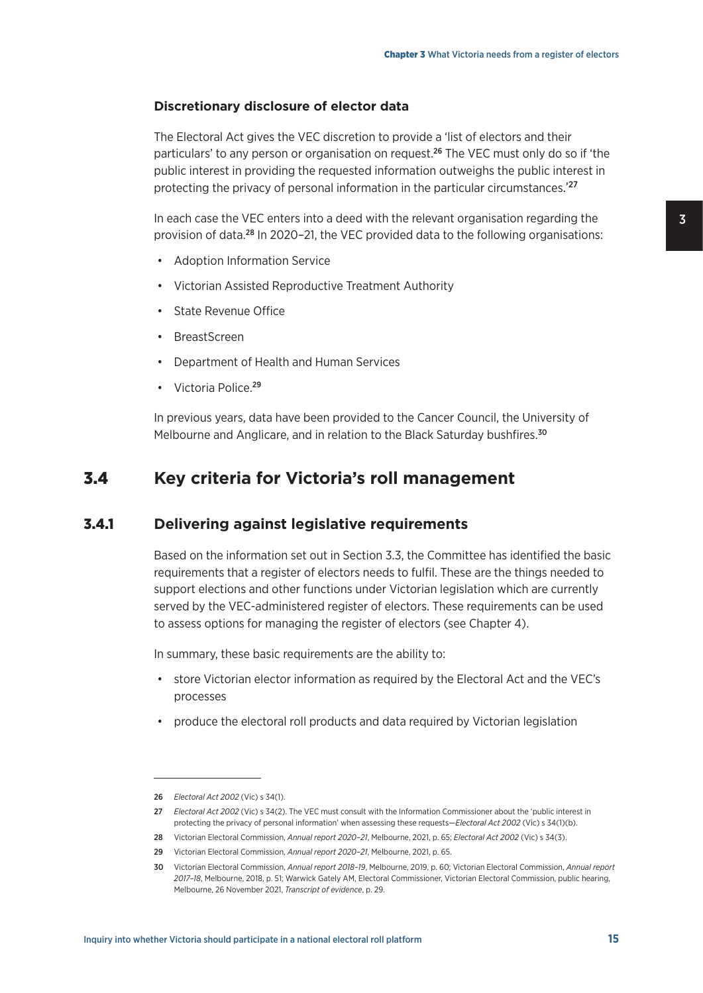#### <span id="page-28-0"></span>**Discretionary disclosure of elector data**

The Electoral Act gives the VEC discretion to provide a 'list of electors and their particulars' to any person or organisation on request.<sup>26</sup> The VEC must only do so if 'the public interest in providing the requested information outweighs the public interest in protecting the privacy of personal information in the particular circumstances.'<sup>27</sup>

In each case the VEC enters into a deed with the relevant organisation regarding the provision of data.<sup>28</sup> In 2020–21, the VEC provided data to the following organisations:

- Adoption Information Service
- Victorian Assisted Reproductive Treatment Authority
- State Revenue Office
- BreastScreen
- Department of Health and Human Services
- Victoria Police.<sup>29</sup>

In previous years, data have been provided to the Cancer Council, the University of Melbourne and Anglicare, and in relation to the Black Saturday bushfires.<sup>30</sup>

## 3.4 **Key criteria for Victoria's roll management**

#### 3.4.1 **Delivering against legislative requirements**

Based on the information set out in Section 3.3, the Committee has identified the basic requirements that a register of electors needs to fulfil. These are the things needed to support elections and other functions under Victorian legislation which are currently served by the VEC-administered register of electors. These requirements can be used to assess options for managing the register of electors (see Chapter 4).

In summary, these basic requirements are the ability to:

- store Victorian elector information as required by the Electoral Act and the VEC's processes
- produce the electoral roll products and data required by Victorian legislation

<sup>26</sup> *Electoral Act 2002* (Vic) s 34(1).

<sup>27</sup> *Electoral Act 2002* (Vic) s 34(2). The VEC must consult with the Information Commissioner about the 'public interest in protecting the privacy of personal information' when assessing these requests—*Electoral Act 2002* (Vic) s 34(1)(b).

<sup>28</sup> Victorian Electoral Commission, *Annual report 2020–21*, Melbourne, 2021, p. 65; *Electoral Act 2002* (Vic) s 34(3).

<sup>29</sup> Victorian Electoral Commission, *Annual report 2020–21*, Melbourne, 2021, p. 65.

<sup>30</sup> Victorian Electoral Commission, *Annual report 2018–19*, Melbourne, 2019, p. 60; Victorian Electoral Commission, *Annual report 2017–18*, Melbourne, 2018, p. 51; Warwick Gately AM, Electoral Commissioner, Victorian Electoral Commission, public hearing, Melbourne, 26 November 2021, *Transcript of evidence*, p. 29.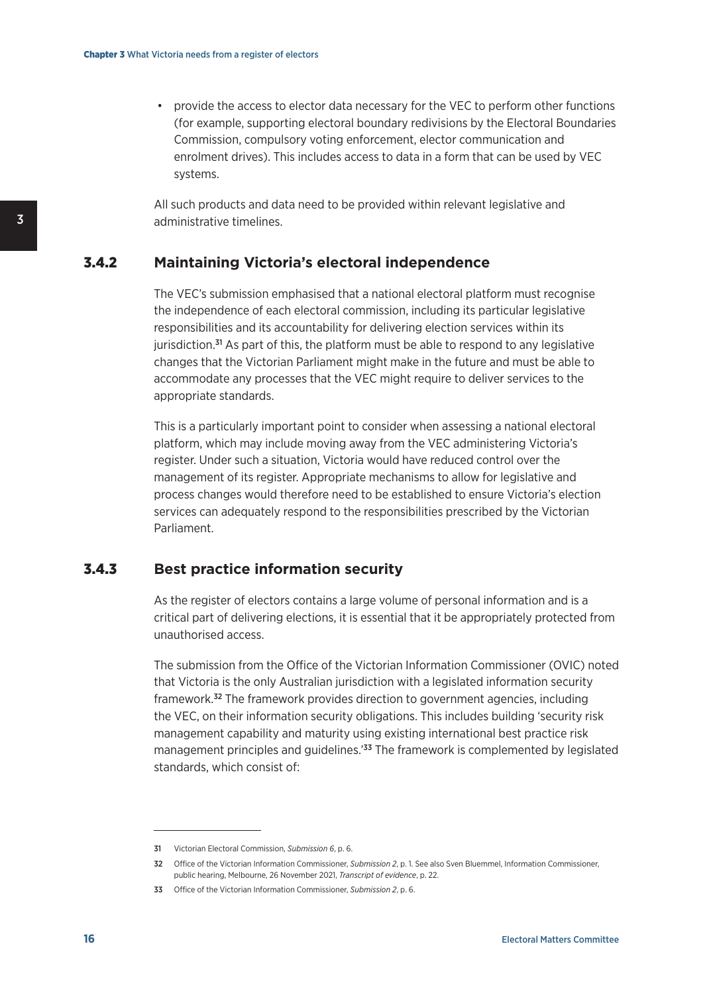<span id="page-29-0"></span>• provide the access to elector data necessary for the VEC to perform other functions (for example, supporting electoral boundary redivisions by the Electoral Boundaries Commission, compulsory voting enforcement, elector communication and enrolment drives). This includes access to data in a form that can be used by VEC systems.

All such products and data need to be provided within relevant legislative and administrative timelines.

#### 3.4.2 **Maintaining Victoria's electoral independence**

The VEC's submission emphasised that a national electoral platform must recognise the independence of each electoral commission, including its particular legislative responsibilities and its accountability for delivering election services within its jurisdiction.<sup>31</sup> As part of this, the platform must be able to respond to any legislative changes that the Victorian Parliament might make in the future and must be able to accommodate any processes that the VEC might require to deliver services to the appropriate standards.

This is a particularly important point to consider when assessing a national electoral platform, which may include moving away from the VEC administering Victoria's register. Under such a situation, Victoria would have reduced control over the management of its register. Appropriate mechanisms to allow for legislative and process changes would therefore need to be established to ensure Victoria's election services can adequately respond to the responsibilities prescribed by the Victorian Parliament.

#### 3.4.3 **Best practice information security**

As the register of electors contains a large volume of personal information and is a critical part of delivering elections, it is essential that it be appropriately protected from unauthorised access.

The submission from the Office of the Victorian Information Commissioner (OVIC) noted that Victoria is the only Australian jurisdiction with a legislated information security framework.<sup>32</sup> The framework provides direction to government agencies, including the VEC, on their information security obligations. This includes building 'security risk management capability and maturity using existing international best practice risk management principles and guidelines.<sup>33</sup> The framework is complemented by legislated standards, which consist of:

<sup>31</sup> Victorian Electoral Commission, *Submission 6*, p. 6.

<sup>32</sup> Office of the Victorian Information Commissioner, *Submission 2*, p. 1. See also Sven Bluemmel, Information Commissioner, public hearing, Melbourne, 26 November 2021, *Transcript of evidence*, p. 22.

<sup>33</sup> Office of the Victorian Information Commissioner, *Submission 2*, p. 6.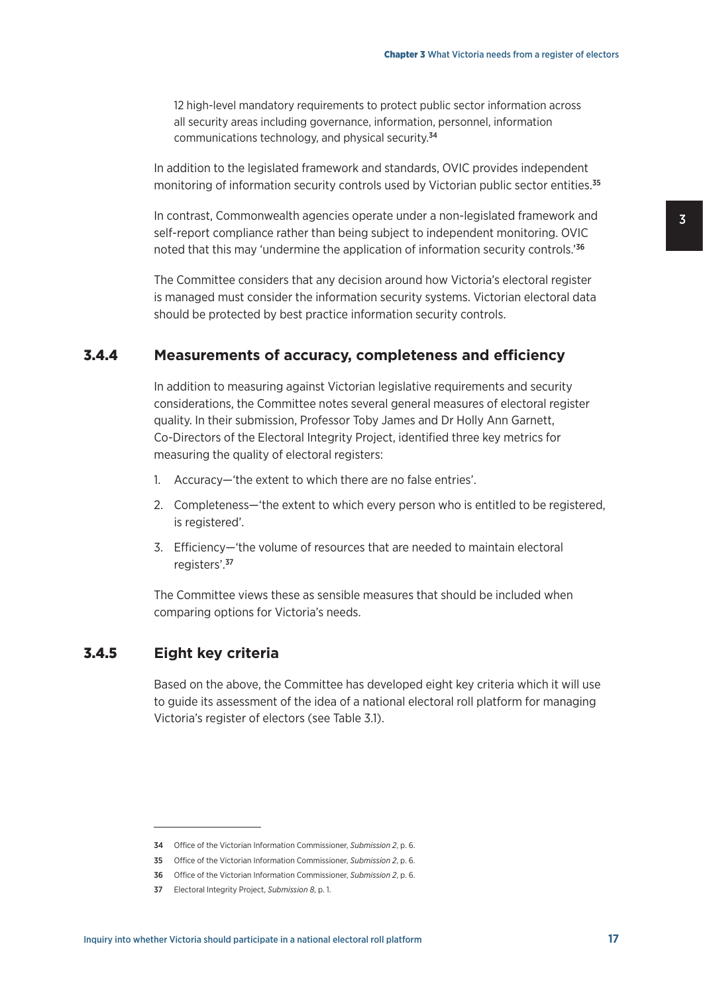<span id="page-30-0"></span>12 high-level mandatory requirements to protect public sector information across all security areas including governance, information, personnel, information communications technology, and physical security.<sup>34</sup>

In addition to the legislated framework and standards, OVIC provides independent monitoring of information security controls used by Victorian public sector entities.<sup>35</sup>

In contrast, Commonwealth agencies operate under a non-legislated framework and self-report compliance rather than being subject to independent monitoring. OVIC noted that this may 'undermine the application of information security controls.'<sup>36</sup>

The Committee considers that any decision around how Victoria's electoral register is managed must consider the information security systems. Victorian electoral data should be protected by best practice information security controls.

#### 3.4.4 **Measurements of accuracy, completeness and efficiency**

In addition to measuring against Victorian legislative requirements and security considerations, the Committee notes several general measures of electoral register quality. In their submission, Professor Toby James and Dr Holly Ann Garnett, Co-Directors of the Electoral Integrity Project, identified three key metrics for measuring the quality of electoral registers:

- 1. Accuracy—'the extent to which there are no false entries'.
- 2. Completeness—'the extent to which every person who is entitled to be registered, is registered'.
- 3. Efficiency—'the volume of resources that are needed to maintain electoral registers'.<sup>37</sup>

The Committee views these as sensible measures that should be included when comparing options for Victoria's needs.

### 3.4.5 **Eight key criteria**

Based on the above, the Committee has developed eight key criteria which it will use to guide its assessment of the idea of a national electoral roll platform for managing Victoria's register of electors (see Table 3.1).

<sup>34</sup> Office of the Victorian Information Commissioner, *Submission 2*, p. 6.

<sup>35</sup> Office of the Victorian Information Commissioner, *Submission 2*, p. 6.

<sup>36</sup> Office of the Victorian Information Commissioner, *Submission 2*, p. 6.

<sup>37</sup> Electoral Integrity Project, *Submission 8*, p. 1.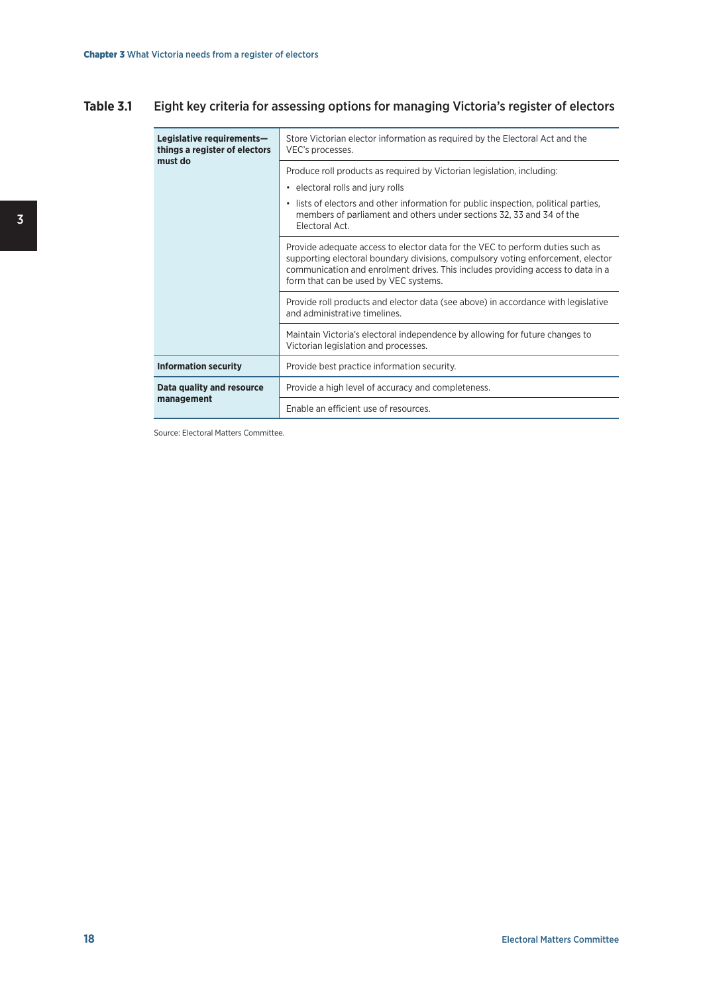## **Table 3.1** Eight key criteria for assessing options for managing Victoria's register of electors

| Legislative requirements-<br>things a register of electors | Store Victorian elector information as required by the Electoral Act and the<br>VEC's processes.                                                                                                                                                                                             |  |
|------------------------------------------------------------|----------------------------------------------------------------------------------------------------------------------------------------------------------------------------------------------------------------------------------------------------------------------------------------------|--|
| must do                                                    | Produce roll products as required by Victorian legislation, including:                                                                                                                                                                                                                       |  |
|                                                            | • electoral rolls and jury rolls                                                                                                                                                                                                                                                             |  |
|                                                            | lists of electors and other information for public inspection, political parties,<br>$\bullet$<br>members of parliament and others under sections 32, 33 and 34 of the<br>Electoral Act.                                                                                                     |  |
|                                                            | Provide adequate access to elector data for the VEC to perform duties such as<br>supporting electoral boundary divisions, compulsory voting enforcement, elector<br>communication and enrolment drives. This includes providing access to data in a<br>form that can be used by VEC systems. |  |
|                                                            | Provide roll products and elector data (see above) in accordance with legislative<br>and administrative timelines.                                                                                                                                                                           |  |
|                                                            | Maintain Victoria's electoral independence by allowing for future changes to<br>Victorian legislation and processes.                                                                                                                                                                         |  |
| <b>Information security</b>                                | Provide best practice information security.                                                                                                                                                                                                                                                  |  |
| Data quality and resource                                  | Provide a high level of accuracy and completeness.                                                                                                                                                                                                                                           |  |
| management                                                 | Enable an efficient use of resources.                                                                                                                                                                                                                                                        |  |

Source: Electoral Matters Committee.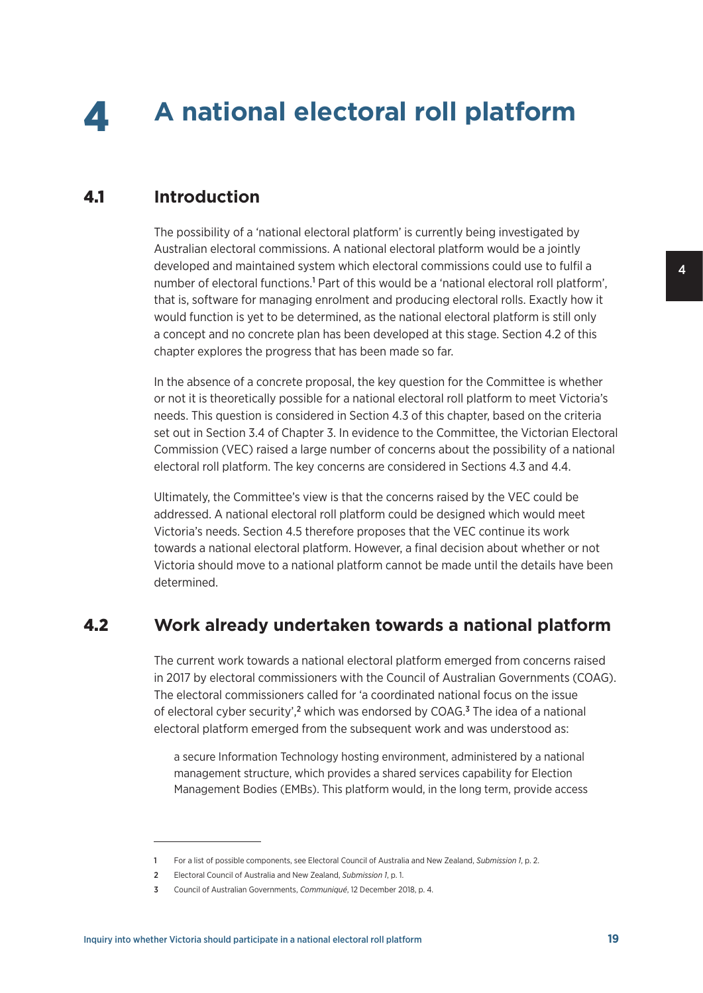<span id="page-32-0"></span>

## 4.1 **Introduction**

The possibility of a 'national electoral platform' is currently being investigated by Australian electoral commissions. A national electoral platform would be a jointly developed and maintained system which electoral commissions could use to fulfil a number of electoral functions.<sup>1</sup> Part of this would be a 'national electoral roll platform', that is, software for managing enrolment and producing electoral rolls. Exactly how it would function is yet to be determined, as the national electoral platform is still only a concept and no concrete plan has been developed at this stage. Section 4.2 of this chapter explores the progress that has been made so far.

In the absence of a concrete proposal, the key question for the Committee is whether or not it is theoretically possible for a national electoral roll platform to meet Victoria's needs. This question is considered in Section 4.3 of this chapter, based on the criteria set out in Section 3.4 of Chapter 3. In evidence to the Committee, the Victorian Electoral Commission (VEC) raised a large number of concerns about the possibility of a national electoral roll platform. The key concerns are considered in Sections 4.3 and 4.4.

Ultimately, the Committee's view is that the concerns raised by the VEC could be addressed. A national electoral roll platform could be designed which would meet Victoria's needs. Section 4.5 therefore proposes that the VEC continue its work towards a national electoral platform. However, a final decision about whether or not Victoria should move to a national platform cannot be made until the details have been determined.

### 4.2 **Work already undertaken towards a national platform**

The current work towards a national electoral platform emerged from concerns raised in 2017 by electoral commissioners with the Council of Australian Governments (COAG). The electoral commissioners called for 'a coordinated national focus on the issue of electoral cyber security',<sup>2</sup> which was endorsed by COAG.<sup>3</sup> The idea of a national electoral platform emerged from the subsequent work and was understood as:

a secure Information Technology hosting environment, administered by a national management structure, which provides a shared services capability for Election Management Bodies (EMBs). This platform would, in the long term, provide access

<sup>1</sup> For a list of possible components, see Electoral Council of Australia and New Zealand, *Submission 1*, p. 2.

<sup>2</sup> Electoral Council of Australia and New Zealand, *Submission 1*, p. 1.

<sup>3</sup> Council of Australian Governments, *Communiqué*, 12 December 2018, p. 4.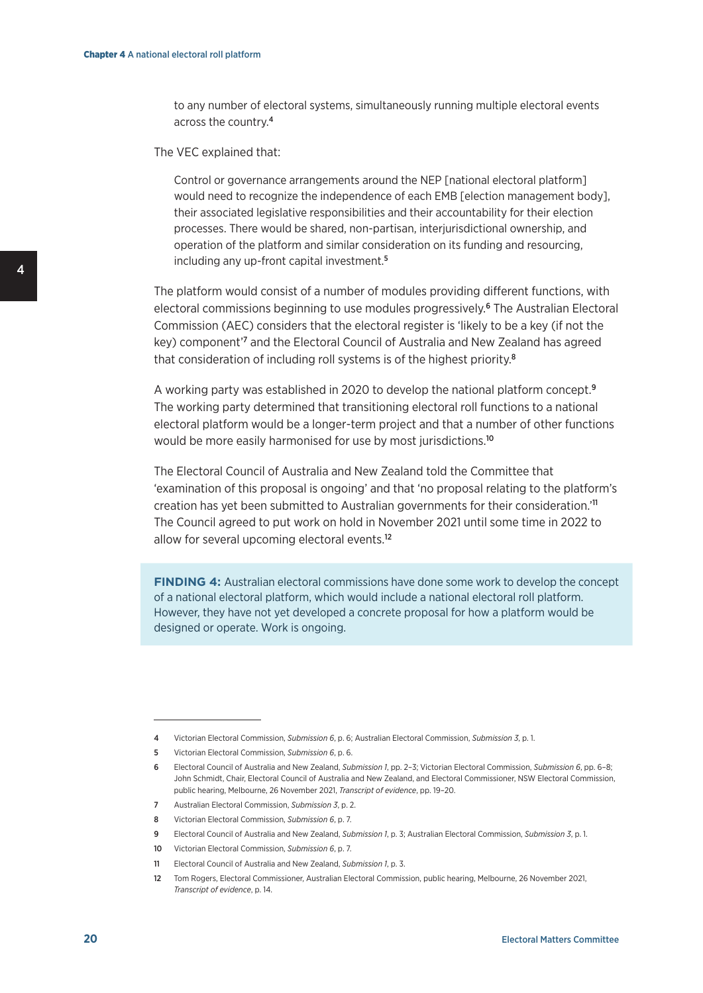<span id="page-33-0"></span>to any number of electoral systems, simultaneously running multiple electoral events across the country.<sup>4</sup>

The VEC explained that:

Control or governance arrangements around the NEP [national electoral platform] would need to recognize the independence of each EMB [election management body], their associated legislative responsibilities and their accountability for their election processes. There would be shared, non-partisan, interjurisdictional ownership, and operation of the platform and similar consideration on its funding and resourcing, including any up-front capital investment.<sup>5</sup>

The platform would consist of a number of modules providing different functions, with electoral commissions beginning to use modules progressively.<sup>6</sup> The Australian Electoral Commission (AEC) considers that the electoral register is 'likely to be a key (if not the key) component'<sup>7</sup> and the Electoral Council of Australia and New Zealand has agreed that consideration of including roll systems is of the highest priority.<sup>8</sup>

A working party was established in 2020 to develop the national platform concept.<sup>9</sup> The working party determined that transitioning electoral roll functions to a national electoral platform would be a longer-term project and that a number of other functions would be more easily harmonised for use by most jurisdictions.<sup>10</sup>

The Electoral Council of Australia and New Zealand told the Committee that 'examination of this proposal is ongoing' and that 'no proposal relating to the platform's creation has yet been submitted to Australian governments for their consideration.'<sup>11</sup> The Council agreed to put work on hold in November 2021 until some time in 2022 to allow for several upcoming electoral events.<sup>12</sup>

**FINDING 4:** Australian electoral commissions have done some work to develop the concept of a national electoral platform, which would include a national electoral roll platform. However, they have not yet developed a concrete proposal for how a platform would be designed or operate. Work is ongoing.

<sup>4</sup> Victorian Electoral Commission, *Submission 6*, p. 6; Australian Electoral Commission, *Submission 3*, p. 1.

<sup>5</sup> Victorian Electoral Commission, *Submission 6*, p. 6.

<sup>6</sup> Electoral Council of Australia and New Zealand, *Submission 1*, pp. 2–3; Victorian Electoral Commission, *Submission 6*, pp. 6–8; John Schmidt, Chair, Electoral Council of Australia and New Zealand, and Electoral Commissioner, NSW Electoral Commission, public hearing, Melbourne, 26 November 2021, *Transcript of evidence*, pp. 19–20.

<sup>7</sup> Australian Electoral Commission, *Submission 3*, p. 2.

<sup>8</sup> Victorian Electoral Commission, *Submission 6*, p. 7.

<sup>9</sup> Electoral Council of Australia and New Zealand, *Submission 1*, p. 3; Australian Electoral Commission, *Submission 3*, p. 1.

<sup>10</sup> Victorian Electoral Commission, *Submission 6*, p. 7.

<sup>11</sup> Electoral Council of Australia and New Zealand, *Submission 1*, p. 3.

<sup>12</sup> Tom Rogers, Electoral Commissioner, Australian Electoral Commission, public hearing, Melbourne, 26 November 2021, *Transcript of evidence*, p. 14.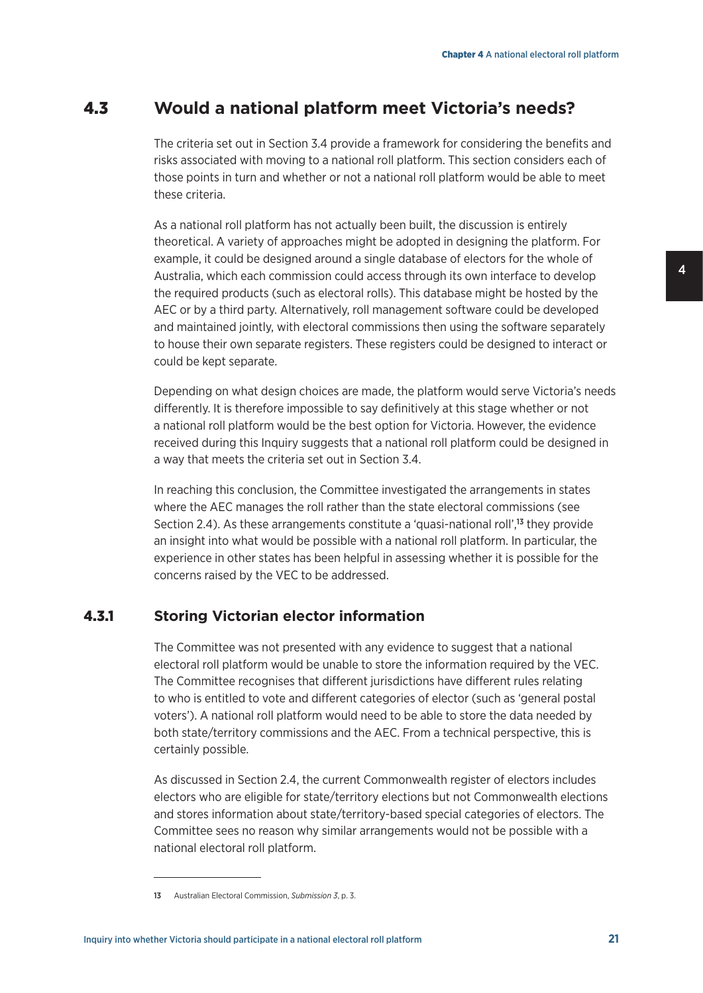## <span id="page-34-0"></span>4.3 **Would a national platform meet Victoria's needs?**

The criteria set out in Section 3.4 provide a framework for considering the benefits and risks associated with moving to a national roll platform. This section considers each of those points in turn and whether or not a national roll platform would be able to meet these criteria.

As a national roll platform has not actually been built, the discussion is entirely theoretical. A variety of approaches might be adopted in designing the platform. For example, it could be designed around a single database of electors for the whole of Australia, which each commission could access through its own interface to develop the required products (such as electoral rolls). This database might be hosted by the AEC or by a third party. Alternatively, roll management software could be developed and maintained jointly, with electoral commissions then using the software separately to house their own separate registers. These registers could be designed to interact or could be kept separate.

Depending on what design choices are made, the platform would serve Victoria's needs differently. It is therefore impossible to say definitively at this stage whether or not a national roll platform would be the best option for Victoria. However, the evidence received during this Inquiry suggests that a national roll platform could be designed in a way that meets the criteria set out in Section 3.4.

In reaching this conclusion, the Committee investigated the arrangements in states where the AEC manages the roll rather than the state electoral commissions (see Section 2.4). As these arrangements constitute a 'quasi-national roll',<sup>13</sup> they provide an insight into what would be possible with a national roll platform. In particular, the experience in other states has been helpful in assessing whether it is possible for the concerns raised by the VEC to be addressed.

### 4.3.1 **Storing Victorian elector information**

The Committee was not presented with any evidence to suggest that a national electoral roll platform would be unable to store the information required by the VEC. The Committee recognises that different jurisdictions have different rules relating to who is entitled to vote and different categories of elector (such as 'general postal voters'). A national roll platform would need to be able to store the data needed by both state/territory commissions and the AEC. From a technical perspective, this is certainly possible.

As discussed in Section 2.4, the current Commonwealth register of electors includes electors who are eligible for state/territory elections but not Commonwealth elections and stores information about state/territory-based special categories of electors. The Committee sees no reason why similar arrangements would not be possible with a national electoral roll platform.

<sup>13</sup> Australian Electoral Commission, *Submission 3*, p. 3.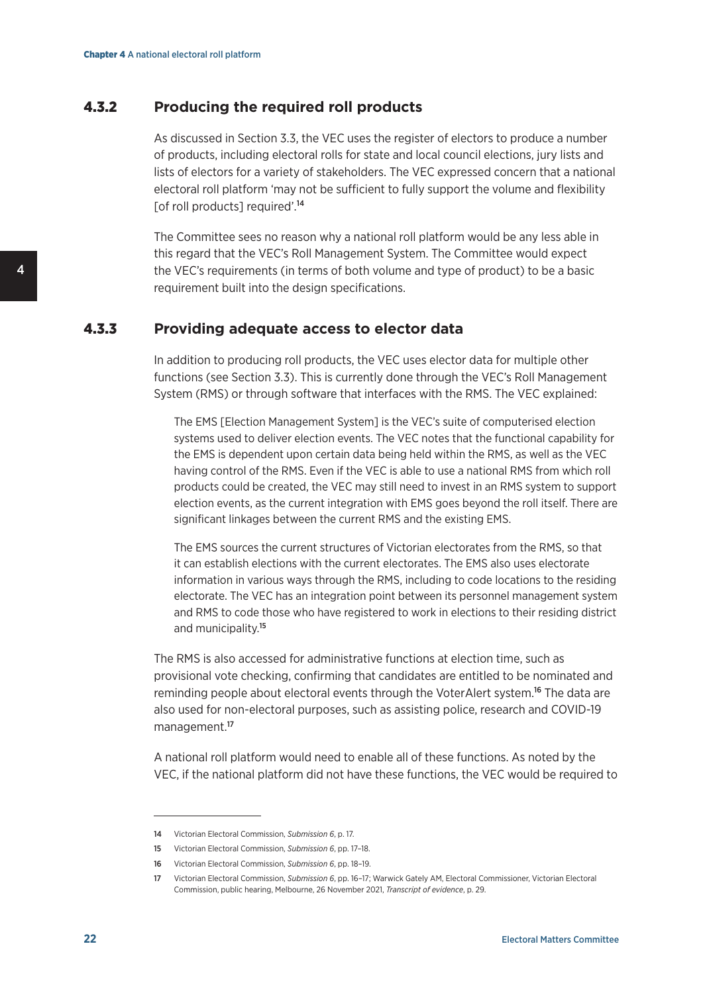#### <span id="page-35-0"></span>4.3.2 **Producing the required roll products**

As discussed in Section 3.3, the VEC uses the register of electors to produce a number of products, including electoral rolls for state and local council elections, jury lists and lists of electors for a variety of stakeholders. The VEC expressed concern that a national electoral roll platform 'may not be sufficient to fully support the volume and flexibility [of roll products] required'.<sup>14</sup>

The Committee sees no reason why a national roll platform would be any less able in this regard that the VEC's Roll Management System. The Committee would expect the VEC's requirements (in terms of both volume and type of product) to be a basic requirement built into the design specifications.

#### 4.3.3 **Providing adequate access to elector data**

In addition to producing roll products, the VEC uses elector data for multiple other functions (see Section 3.3). This is currently done through the VEC's Roll Management System (RMS) or through software that interfaces with the RMS. The VEC explained:

The EMS [Election Management System] is the VEC's suite of computerised election systems used to deliver election events. The VEC notes that the functional capability for the EMS is dependent upon certain data being held within the RMS, as well as the VEC having control of the RMS. Even if the VEC is able to use a national RMS from which roll products could be created, the VEC may still need to invest in an RMS system to support election events, as the current integration with EMS goes beyond the roll itself. There are significant linkages between the current RMS and the existing EMS.

The EMS sources the current structures of Victorian electorates from the RMS, so that it can establish elections with the current electorates. The EMS also uses electorate information in various ways through the RMS, including to code locations to the residing electorate. The VEC has an integration point between its personnel management system and RMS to code those who have registered to work in elections to their residing district and municipality.<sup>15</sup>

The RMS is also accessed for administrative functions at election time, such as provisional vote checking, confirming that candidates are entitled to be nominated and reminding people about electoral events through the VoterAlert system.<sup>16</sup> The data are also used for non-electoral purposes, such as assisting police, research and COVID-19 management.<sup>17</sup>

A national roll platform would need to enable all of these functions. As noted by the VEC, if the national platform did not have these functions, the VEC would be required to

<sup>14</sup> Victorian Electoral Commission, *Submission 6*, p. 17.

<sup>15</sup> Victorian Electoral Commission, *Submission 6*, pp. 17–18.

<sup>16</sup> Victorian Electoral Commission, *Submission 6*, pp. 18–19.

<sup>17</sup> Victorian Electoral Commission, *Submission 6*, pp. 16–17; Warwick Gately AM, Electoral Commissioner, Victorian Electoral Commission, public hearing, Melbourne, 26 November 2021, *Transcript of evidence*, p. 29.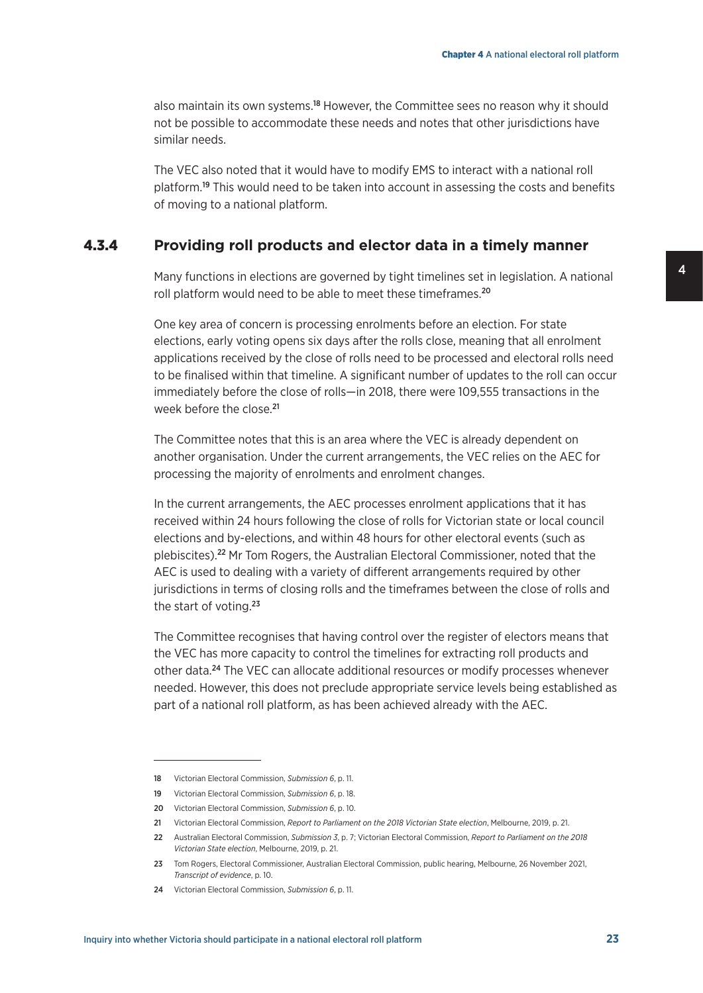<span id="page-36-0"></span>also maintain its own systems.<sup>18</sup> However, the Committee sees no reason why it should not be possible to accommodate these needs and notes that other jurisdictions have similar needs.

The VEC also noted that it would have to modify EMS to interact with a national roll platform.<sup>19</sup> This would need to be taken into account in assessing the costs and benefits of moving to a national platform.

#### 4.3.4 **Providing roll products and elector data in a timely manner**

Many functions in elections are governed by tight timelines set in legislation. A national roll platform would need to be able to meet these timeframes.<sup>20</sup>

One key area of concern is processing enrolments before an election. For state elections, early voting opens six days after the rolls close, meaning that all enrolment applications received by the close of rolls need to be processed and electoral rolls need to be finalised within that timeline. A significant number of updates to the roll can occur immediately before the close of rolls—in 2018, there were 109,555 transactions in the week before the close.<sup>21</sup>

The Committee notes that this is an area where the VEC is already dependent on another organisation. Under the current arrangements, the VEC relies on the AEC for processing the majority of enrolments and enrolment changes.

In the current arrangements, the AEC processes enrolment applications that it has received within 24 hours following the close of rolls for Victorian state or local council elections and by-elections, and within 48 hours for other electoral events (such as plebiscites).<sup>22</sup> Mr Tom Rogers, the Australian Electoral Commissioner, noted that the AEC is used to dealing with a variety of different arrangements required by other jurisdictions in terms of closing rolls and the timeframes between the close of rolls and the start of voting.<sup>23</sup>

The Committee recognises that having control over the register of electors means that the VEC has more capacity to control the timelines for extracting roll products and other data.<sup>24</sup> The VEC can allocate additional resources or modify processes whenever needed. However, this does not preclude appropriate service levels being established as part of a national roll platform, as has been achieved already with the AEC.

<sup>18</sup> Victorian Electoral Commission, *Submission 6*, p. 11.

<sup>19</sup> Victorian Electoral Commission, *Submission 6*, p. 18.

<sup>20</sup> Victorian Electoral Commission, *Submission 6*, p. 10.

<sup>21</sup> Victorian Electoral Commission, *Report to Parliament on the 2018 Victorian State election*, Melbourne, 2019, p. 21.

<sup>22</sup> Australian Electoral Commission, *Submission 3*, p. 7; Victorian Electoral Commission, *Report to Parliament on the 2018 Victorian State election*, Melbourne, 2019, p. 21.

<sup>23</sup> Tom Rogers, Electoral Commissioner, Australian Electoral Commission, public hearing, Melbourne, 26 November 2021, *Transcript of evidence*, p. 10.

<sup>24</sup> Victorian Electoral Commission, *Submission 6*, p. 11.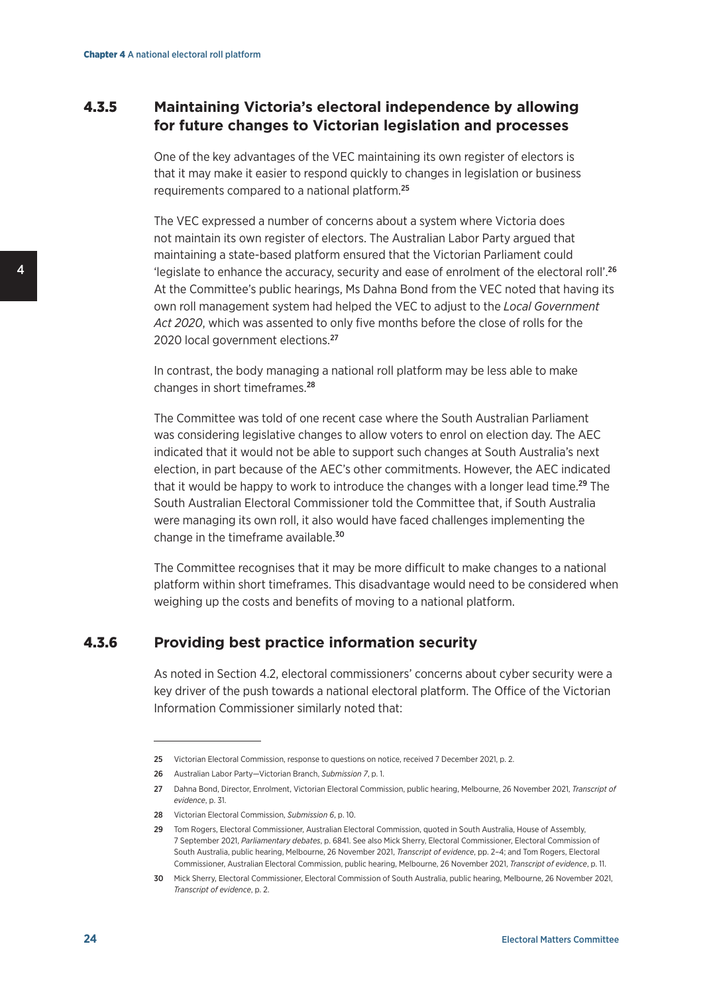### <span id="page-37-0"></span>4.3.5 **Maintaining Victoria's electoral independence by allowing for future changes to Victorian legislation and processes**

One of the key advantages of the VEC maintaining its own register of electors is that it may make it easier to respond quickly to changes in legislation or business requirements compared to a national platform.<sup>25</sup>

The VEC expressed a number of concerns about a system where Victoria does not maintain its own register of electors. The Australian Labor Party argued that maintaining a state-based platform ensured that the Victorian Parliament could 'legislate to enhance the accuracy, security and ease of enrolment of the electoral roll'.<sup>26</sup> At the Committee's public hearings, Ms Dahna Bond from the VEC noted that having its own roll management system had helped the VEC to adjust to the *Local Government Act 2020*, which was assented to only five months before the close of rolls for the 2020 local government elections.<sup>27</sup>

In contrast, the body managing a national roll platform may be less able to make changes in short timeframes.<sup>28</sup>

The Committee was told of one recent case where the South Australian Parliament was considering legislative changes to allow voters to enrol on election day. The AEC indicated that it would not be able to support such changes at South Australia's next election, in part because of the AEC's other commitments. However, the AEC indicated that it would be happy to work to introduce the changes with a longer lead time.<sup>29</sup> The South Australian Electoral Commissioner told the Committee that, if South Australia were managing its own roll, it also would have faced challenges implementing the change in the timeframe available.<sup>30</sup>

The Committee recognises that it may be more difficult to make changes to a national platform within short timeframes. This disadvantage would need to be considered when weighing up the costs and benefits of moving to a national platform.

#### 4.3.6 **Providing best practice information security**

As noted in Section 4.2, electoral commissioners' concerns about cyber security were a key driver of the push towards a national electoral platform. The Office of the Victorian Information Commissioner similarly noted that:

<sup>25</sup> Victorian Electoral Commission, response to questions on notice, received 7 December 2021, p. 2.

<sup>26</sup> Australian Labor Party—Victorian Branch, *Submission 7*, p. 1.

<sup>27</sup> Dahna Bond, Director, Enrolment, Victorian Electoral Commission, public hearing, Melbourne, 26 November 2021, *Transcript of evidence*, p. 31.

<sup>28</sup> Victorian Electoral Commission, *Submission 6*, p. 10.

<sup>29</sup> Tom Rogers, Electoral Commissioner, Australian Electoral Commission, quoted in South Australia, House of Assembly, 7 September 2021, *Parliamentary debates*, p. 6841. See also Mick Sherry, Electoral Commissioner, Electoral Commission of South Australia, public hearing, Melbourne, 26 November 2021, *Transcript of evidence*, pp. 2–4; and Tom Rogers, Electoral Commissioner, Australian Electoral Commission, public hearing, Melbourne, 26 November 2021, *Transcript of evidence*, p. 11.

<sup>30</sup> Mick Sherry, Electoral Commissioner, Electoral Commission of South Australia, public hearing, Melbourne, 26 November 2021, *Transcript of evidence*, p. 2.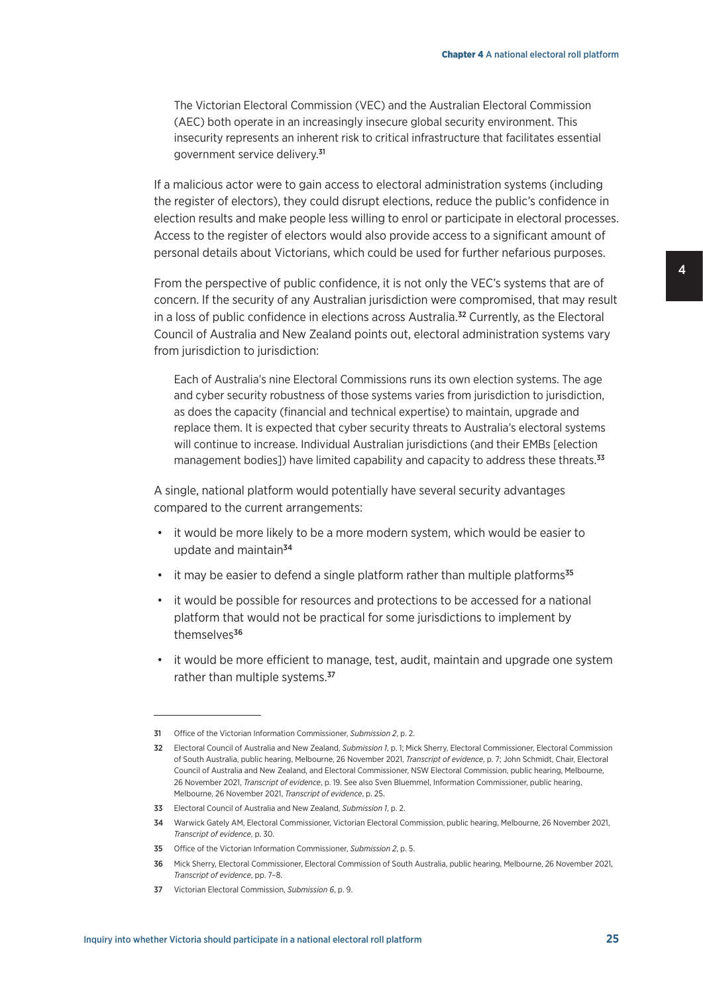The Victorian Electoral Commission (VEC) and the Australian Electoral Commission (AEC) both operate in an increasingly insecure global security environment. This insecurity represents an inherent risk to critical infrastructure that facilitates essential government service delivery.<sup>31</sup>

If a malicious actor were to gain access to electoral administration systems (including the register of electors), they could disrupt elections, reduce the public's confidence in election results and make people less willing to enrol or participate in electoral processes. Access to the register of electors would also provide access to a significant amount of personal details about Victorians, which could be used for further nefarious purposes.

From the perspective of public confidence, it is not only the VEC's systems that are of concern. If the security of any Australian jurisdiction were compromised, that may result in a loss of public confidence in elections across Australia.<sup>32</sup> Currently, as the Electoral Council of Australia and New Zealand points out, electoral administration systems vary from jurisdiction to jurisdiction:

Each of Australia's nine Electoral Commissions runs its own election systems. The age and cyber security robustness of those systems varies from jurisdiction to jurisdiction, as does the capacity (financial and technical expertise) to maintain, upgrade and replace them. It is expected that cyber security threats to Australia's electoral systems will continue to increase. Individual Australian jurisdictions (and their EMBs [election management bodies]) have limited capability and capacity to address these threats.<sup>33</sup>

A single, national platform would potentially have several security advantages compared to the current arrangements:

- it would be more likely to be a more modern system, which would be easier to update and maintain<sup>34</sup>
- $\bullet$  it may be easier to defend a single platform rather than multiple platforms<sup>35</sup>
- it would be possible for resources and protections to be accessed for a national platform that would not be practical for some jurisdictions to implement by themselves<sup>36</sup>
- it would be more efficient to manage, test, audit, maintain and upgrade one system rather than multiple systems.<sup>37</sup>

<sup>31</sup> Office of the Victorian Information Commissioner, *Submission 2*, p. 2.

<sup>32</sup> Electoral Council of Australia and New Zealand, *Submission 1*, p. 1; Mick Sherry, Electoral Commissioner, Electoral Commission of South Australia, public hearing, Melbourne, 26 November 2021, *Transcript of evidence*, p. 7; John Schmidt, Chair, Electoral Council of Australia and New Zealand, and Electoral Commissioner, NSW Electoral Commission, public hearing, Melbourne, 26 November 2021, *Transcript of evidence*, p. 19. See also Sven Bluemmel, Information Commissioner, public hearing, Melbourne, 26 November 2021, *Transcript of evidence*, p. 25.

<sup>33</sup> Electoral Council of Australia and New Zealand, *Submission 1*, p. 2.

<sup>34</sup> Warwick Gately AM, Electoral Commissioner, Victorian Electoral Commission, public hearing, Melbourne, 26 November 2021, *Transcript of evidence*, p. 30.

<sup>35</sup> Office of the Victorian Information Commissioner, *Submission 2*, p. 5.

<sup>36</sup> Mick Sherry, Electoral Commissioner, Electoral Commission of South Australia, public hearing, Melbourne, 26 November 2021, *Transcript of evidence*, pp. 7–8.

<sup>37</sup> Victorian Electoral Commission, *Submission 6*, p. 9.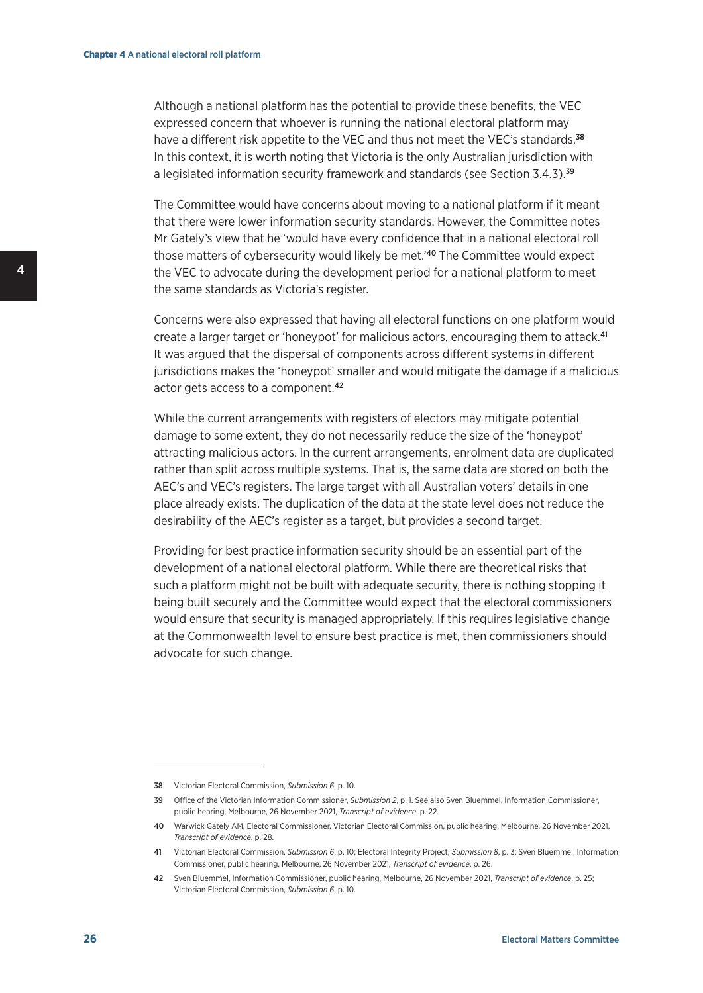Although a national platform has the potential to provide these benefits, the VEC expressed concern that whoever is running the national electoral platform may have a different risk appetite to the VEC and thus not meet the VEC's standards.<sup>38</sup> In this context, it is worth noting that Victoria is the only Australian jurisdiction with a legislated information security framework and standards (see Section 3.4.3).<sup>39</sup>

The Committee would have concerns about moving to a national platform if it meant that there were lower information security standards. However, the Committee notes Mr Gately's view that he 'would have every confidence that in a national electoral roll those matters of cybersecurity would likely be met.'<sup>40</sup> The Committee would expect the VEC to advocate during the development period for a national platform to meet the same standards as Victoria's register.

Concerns were also expressed that having all electoral functions on one platform would create a larger target or 'honeypot' for malicious actors, encouraging them to attack.<sup>41</sup> It was argued that the dispersal of components across different systems in different jurisdictions makes the 'honeypot' smaller and would mitigate the damage if a malicious actor gets access to a component.<sup>42</sup>

While the current arrangements with registers of electors may mitigate potential damage to some extent, they do not necessarily reduce the size of the 'honeypot' attracting malicious actors. In the current arrangements, enrolment data are duplicated rather than split across multiple systems. That is, the same data are stored on both the AEC's and VEC's registers. The large target with all Australian voters' details in one place already exists. The duplication of the data at the state level does not reduce the desirability of the AEC's register as a target, but provides a second target.

Providing for best practice information security should be an essential part of the development of a national electoral platform. While there are theoretical risks that such a platform might not be built with adequate security, there is nothing stopping it being built securely and the Committee would expect that the electoral commissioners would ensure that security is managed appropriately. If this requires legislative change at the Commonwealth level to ensure best practice is met, then commissioners should advocate for such change.

<sup>38</sup> Victorian Electoral Commission, *Submission 6*, p. 10.

<sup>39</sup> Office of the Victorian Information Commissioner, *Submission 2*, p. 1. See also Sven Bluemmel, Information Commissioner, public hearing, Melbourne, 26 November 2021, *Transcript of evidence*, p. 22.

<sup>40</sup> Warwick Gately AM, Electoral Commissioner, Victorian Electoral Commission, public hearing, Melbourne, 26 November 2021, *Transcript of evidence*, p. 28.

<sup>41</sup> Victorian Electoral Commission, *Submission 6*, p. 10; Electoral Integrity Project, *Submission 8*, p. 3; Sven Bluemmel, Information Commissioner, public hearing, Melbourne, 26 November 2021, *Transcript of evidence*, p. 26.

<sup>42</sup> Sven Bluemmel, Information Commissioner, public hearing, Melbourne, 26 November 2021, *Transcript of evidence*, p. 25; Victorian Electoral Commission, *Submission 6*, p. 10.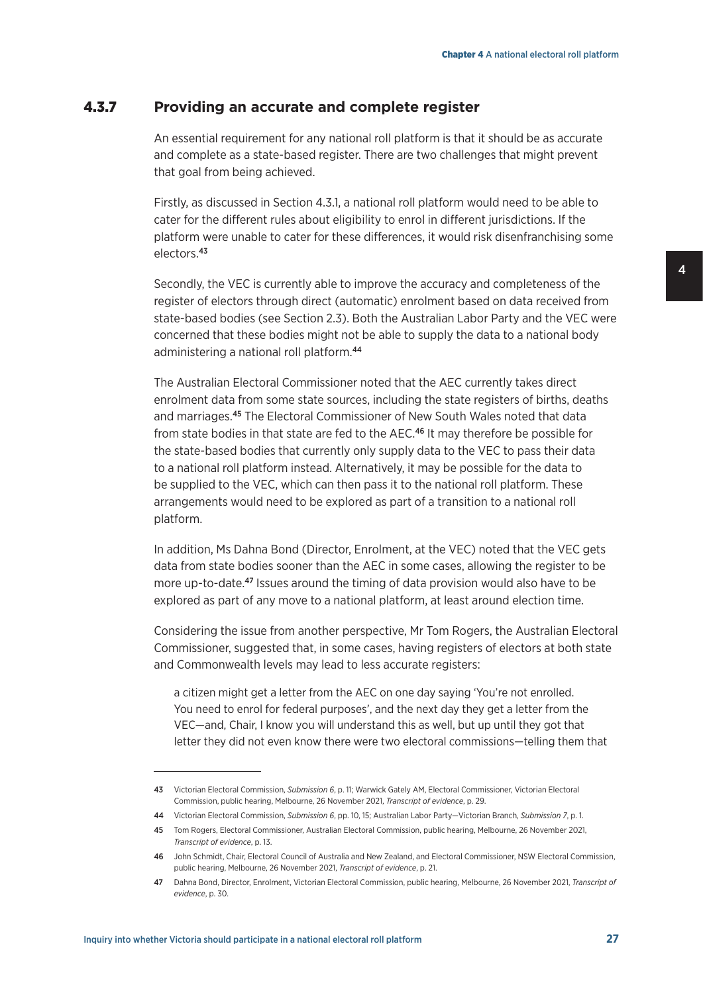#### <span id="page-40-0"></span>4.3.7 **Providing an accurate and complete register**

An essential requirement for any national roll platform is that it should be as accurate and complete as a state-based register. There are two challenges that might prevent that goal from being achieved.

Firstly, as discussed in Section 4.3.1, a national roll platform would need to be able to cater for the different rules about eligibility to enrol in different jurisdictions. If the platform were unable to cater for these differences, it would risk disenfranchising some electors.<sup>43</sup>

Secondly, the VEC is currently able to improve the accuracy and completeness of the register of electors through direct (automatic) enrolment based on data received from state-based bodies (see Section 2.3). Both the Australian Labor Party and the VEC were concerned that these bodies might not be able to supply the data to a national body administering a national roll platform.<sup>44</sup>

The Australian Electoral Commissioner noted that the AEC currently takes direct enrolment data from some state sources, including the state registers of births, deaths and marriages.<sup>45</sup> The Electoral Commissioner of New South Wales noted that data from state bodies in that state are fed to the AEC.<sup>46</sup> It may therefore be possible for the state-based bodies that currently only supply data to the VEC to pass their data to a national roll platform instead. Alternatively, it may be possible for the data to be supplied to the VEC, which can then pass it to the national roll platform. These arrangements would need to be explored as part of a transition to a national roll platform.

In addition, Ms Dahna Bond (Director, Enrolment, at the VEC) noted that the VEC gets data from state bodies sooner than the AEC in some cases, allowing the register to be more up-to-date.<sup>47</sup> Issues around the timing of data provision would also have to be explored as part of any move to a national platform, at least around election time.

Considering the issue from another perspective, Mr Tom Rogers, the Australian Electoral Commissioner, suggested that, in some cases, having registers of electors at both state and Commonwealth levels may lead to less accurate registers:

a citizen might get a letter from the AEC on one day saying 'You're not enrolled. You need to enrol for federal purposes', and the next day they get a letter from the VEC—and, Chair, I know you will understand this as well, but up until they got that letter they did not even know there were two electoral commissions—telling them that

<sup>43</sup> Victorian Electoral Commission, *Submission 6*, p. 11; Warwick Gately AM, Electoral Commissioner, Victorian Electoral Commission, public hearing, Melbourne, 26 November 2021, *Transcript of evidence*, p. 29.

<sup>44</sup> Victorian Electoral Commission, *Submission 6*, pp. 10, 15; Australian Labor Party—Victorian Branch, *Submission 7*, p. 1.

<sup>45</sup> Tom Rogers, Electoral Commissioner, Australian Electoral Commission, public hearing, Melbourne, 26 November 2021, *Transcript of evidence* p. 13.

<sup>46</sup> John Schmidt, Chair, Electoral Council of Australia and New Zealand, and Electoral Commissioner, NSW Electoral Commission, public hearing, Melbourne, 26 November 2021, *Transcript of evidence*, p. 21.

<sup>47</sup> Dahna Bond, Director, Enrolment, Victorian Electoral Commission, public hearing, Melbourne, 26 November 2021, *Transcript of evidence*, p. 30.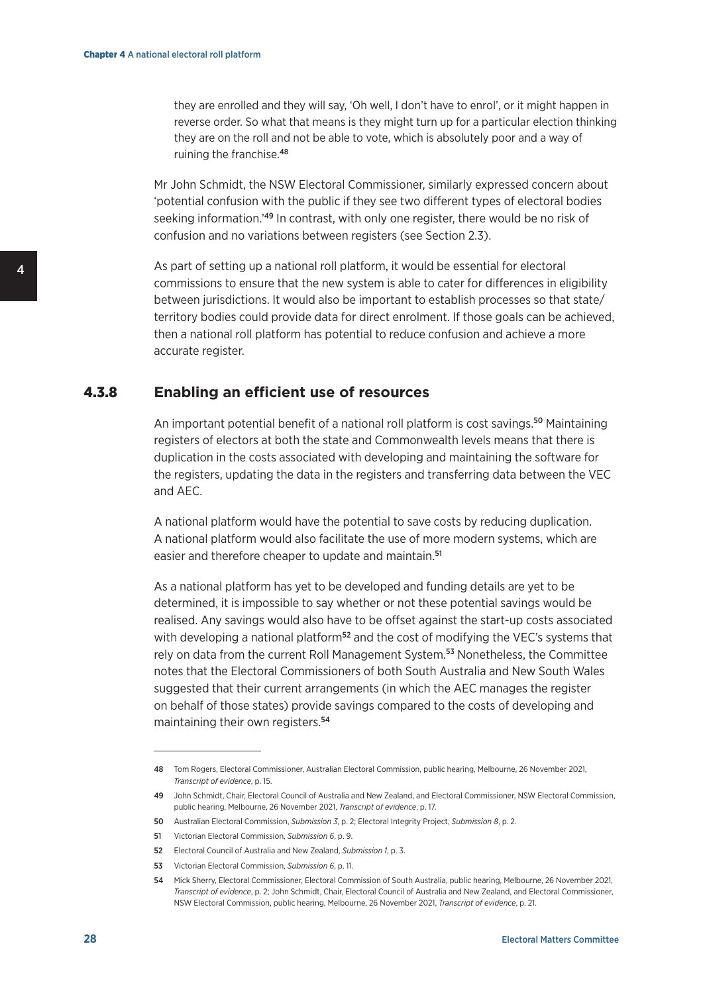<span id="page-41-0"></span>they are enrolled and they will say, 'Oh well, I don't have to enrol', or it might happen in reverse order. So what that means is they might turn up for a particular election thinking they are on the roll and not be able to vote, which is absolutely poor and a way of ruining the franchise.<sup>48</sup>

Mr John Schmidt, the NSW Electoral Commissioner, similarly expressed concern about 'potential confusion with the public if they see two different types of electoral bodies seeking information.'<sup>49</sup> In contrast, with only one register, there would be no risk of confusion and no variations between registers (see Section 2.3).

As part of setting up a national roll platform, it would be essential for electoral commissions to ensure that the new system is able to cater for differences in eligibility between jurisdictions. It would also be important to establish processes so that state/ territory bodies could provide data for direct enrolment. If those goals can be achieved, then a national roll platform has potential to reduce confusion and achieve a more accurate register.

#### 4.3.8 **Enabling an efficient use of resources**

An important potential benefit of a national roll platform is cost savings.<sup>50</sup> Maintaining registers of electors at both the state and Commonwealth levels means that there is duplication in the costs associated with developing and maintaining the software for the registers, updating the data in the registers and transferring data between the VEC and AEC.

A national platform would have the potential to save costs by reducing duplication. A national platform would also facilitate the use of more modern systems, which are easier and therefore cheaper to update and maintain.<sup>51</sup>

As a national platform has yet to be developed and funding details are yet to be determined, it is impossible to say whether or not these potential savings would be realised. Any savings would also have to be offset against the start-up costs associated with developing a national platform<sup>52</sup> and the cost of modifying the VEC's systems that rely on data from the current Roll Management System.<sup>53</sup> Nonetheless, the Committee notes that the Electoral Commissioners of both South Australia and New South Wales suggested that their current arrangements (in which the AEC manages the register on behalf of those states) provide savings compared to the costs of developing and maintaining their own registers.<sup>54</sup>

52 Electoral Council of Australia and New Zealand, *Submission 1*, p. 3.

<sup>48</sup> Tom Rogers, Electoral Commissioner, Australian Electoral Commission, public hearing, Melbourne, 26 November 2021, *Transcript of evidence*, p. 15.

<sup>49</sup> John Schmidt, Chair, Electoral Council of Australia and New Zealand, and Electoral Commissioner, NSW Electoral Commission, public hearing, Melbourne, 26 November 2021, *Transcript of evidence*, p. 17.

<sup>50</sup> Australian Electoral Commission, *Submission 3*, p. 2; Electoral Integrity Project, *Submission 8*, p. 2.

<sup>51</sup> Victorian Electoral Commission, *Submission 6*, p. 9.

<sup>53</sup> Victorian Electoral Commission, *Submission 6*, p. 11.

<sup>54</sup> Mick Sherry, Electoral Commissioner, Electoral Commission of South Australia, public hearing, Melbourne, 26 November 2021, *Transcript of evidence*, p. 2; John Schmidt, Chair, Electoral Council of Australia and New Zealand, and Electoral Commissioner, NSW Electoral Commission, public hearing, Melbourne, 26 November 2021, *Transcript of evidence*, p. 21.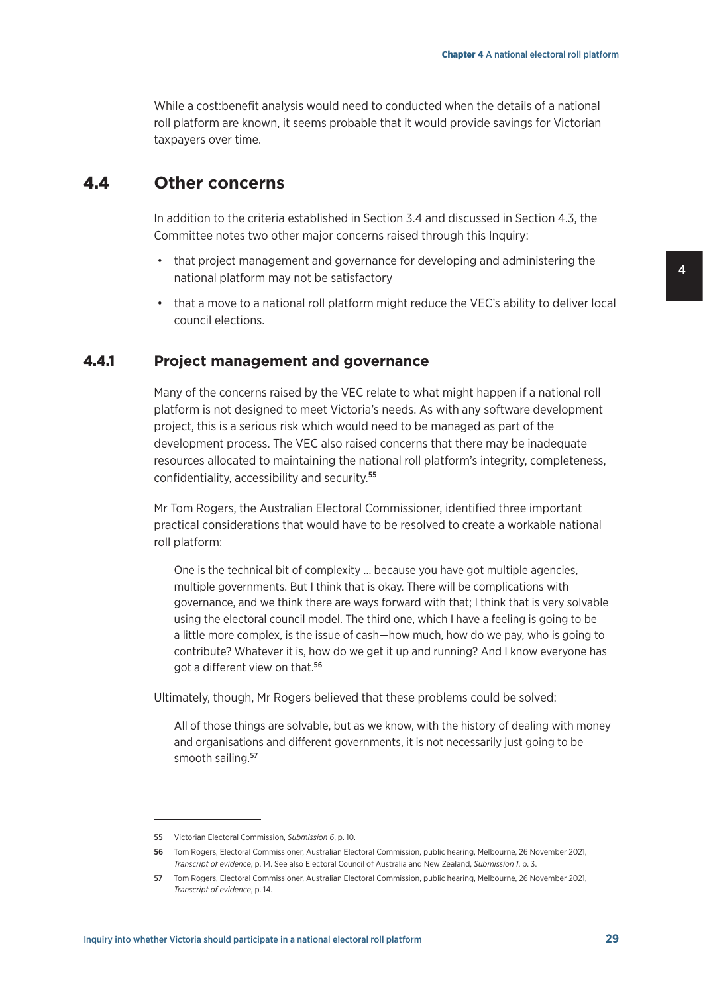<span id="page-42-0"></span>While a cost:benefit analysis would need to conducted when the details of a national roll platform are known, it seems probable that it would provide savings for Victorian taxpayers over time.

### 4.4 **Other concerns**

In addition to the criteria established in Section 3.4 and discussed in Section 4.3, the Committee notes two other major concerns raised through this Inquiry:

- that project management and governance for developing and administering the national platform may not be satisfactory
- that a move to a national roll platform might reduce the VEC's ability to deliver local council elections.

#### 4.4.1 **Project management and governance**

Many of the concerns raised by the VEC relate to what might happen if a national roll platform is not designed to meet Victoria's needs. As with any software development project, this is a serious risk which would need to be managed as part of the development process. The VEC also raised concerns that there may be inadequate resources allocated to maintaining the national roll platform's integrity, completeness, confidentiality, accessibility and security.<sup>55</sup>

Mr Tom Rogers, the Australian Electoral Commissioner, identified three important practical considerations that would have to be resolved to create a workable national roll platform:

One is the technical bit of complexity … because you have got multiple agencies, multiple governments. But I think that is okay. There will be complications with governance, and we think there are ways forward with that; I think that is very solvable using the electoral council model. The third one, which I have a feeling is going to be a little more complex, is the issue of cash—how much, how do we pay, who is going to contribute? Whatever it is, how do we get it up and running? And I know everyone has got a different view on that.<sup>56</sup>

Ultimately, though, Mr Rogers believed that these problems could be solved:

All of those things are solvable, but as we know, with the history of dealing with money and organisations and different governments, it is not necessarily just going to be smooth sailing.<sup>57</sup>

4

<sup>55</sup> Victorian Electoral Commission, *Submission 6*, p. 10.

<sup>56</sup> Tom Rogers, Electoral Commissioner, Australian Electoral Commission, public hearing, Melbourne, 26 November 2021, *Transcript of evidence*, p. 14. See also Electoral Council of Australia and New Zealand, *Submission 1*, p. 3.

<sup>57</sup> Tom Rogers, Electoral Commissioner, Australian Electoral Commission, public hearing, Melbourne, 26 November 2021, *Transcript of evidence*, p. 14.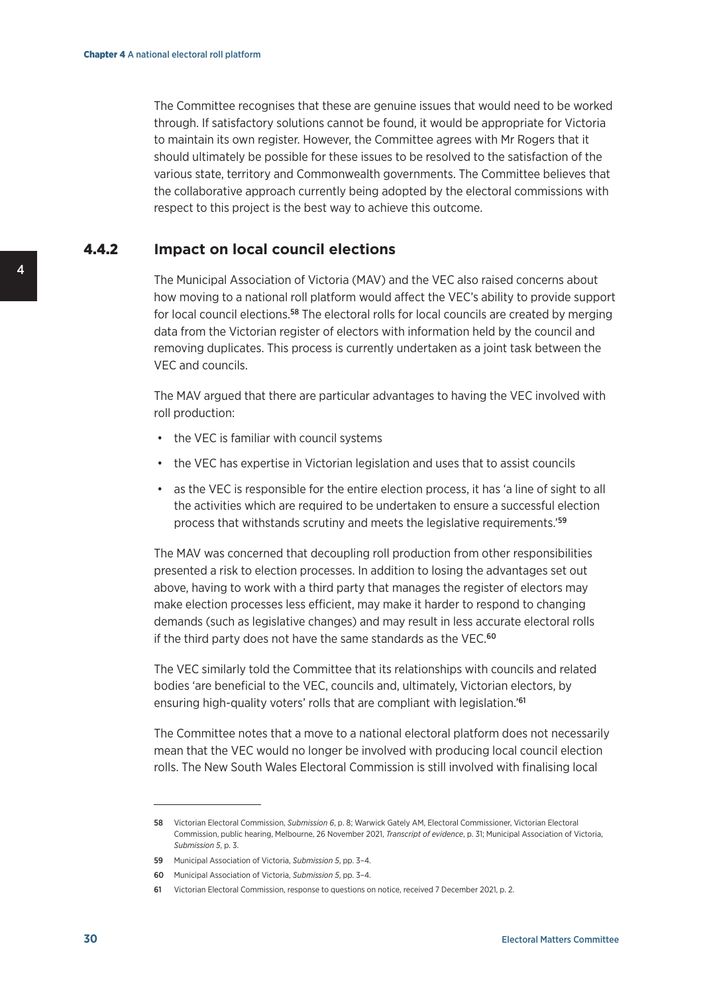<span id="page-43-0"></span>The Committee recognises that these are genuine issues that would need to be worked through. If satisfactory solutions cannot be found, it would be appropriate for Victoria to maintain its own register. However, the Committee agrees with Mr Rogers that it should ultimately be possible for these issues to be resolved to the satisfaction of the various state, territory and Commonwealth governments. The Committee believes that the collaborative approach currently being adopted by the electoral commissions with respect to this project is the best way to achieve this outcome.

#### 4.4.2 **Impact on local council elections**

The Municipal Association of Victoria (MAV) and the VEC also raised concerns about how moving to a national roll platform would affect the VEC's ability to provide support for local council elections.<sup>58</sup> The electoral rolls for local councils are created by merging data from the Victorian register of electors with information held by the council and removing duplicates. This process is currently undertaken as a joint task between the VEC and councils.

The MAV argued that there are particular advantages to having the VEC involved with roll production:

- the VEC is familiar with council systems
- the VEC has expertise in Victorian legislation and uses that to assist councils
- as the VEC is responsible for the entire election process, it has 'a line of sight to all the activities which are required to be undertaken to ensure a successful election process that withstands scrutiny and meets the legislative requirements.'<sup>59</sup>

The MAV was concerned that decoupling roll production from other responsibilities presented a risk to election processes. In addition to losing the advantages set out above, having to work with a third party that manages the register of electors may make election processes less efficient, may make it harder to respond to changing demands (such as legislative changes) and may result in less accurate electoral rolls if the third party does not have the same standards as the VEC.<sup>60</sup>

The VEC similarly told the Committee that its relationships with councils and related bodies 'are beneficial to the VEC, councils and, ultimately, Victorian electors, by ensuring high-quality voters' rolls that are compliant with legislation.'<sup>61</sup>

The Committee notes that a move to a national electoral platform does not necessarily mean that the VEC would no longer be involved with producing local council election rolls. The New South Wales Electoral Commission is still involved with finalising local

<sup>58</sup> Victorian Electoral Commission, *Submission 6*, p. 8; Warwick Gately AM, Electoral Commissioner, Victorian Electoral Commission, public hearing, Melbourne, 26 November 2021, *Transcript of evidence*, p. 31; Municipal Association of Victoria, *Submission 5*, p. 3.

<sup>59</sup> Municipal Association of Victoria, *Submission 5*, pp. 3–4.

<sup>60</sup> Municipal Association of Victoria, *Submission 5*, pp. 3–4.

<sup>61</sup> Victorian Electoral Commission, response to questions on notice, received 7 December 2021, p. 2.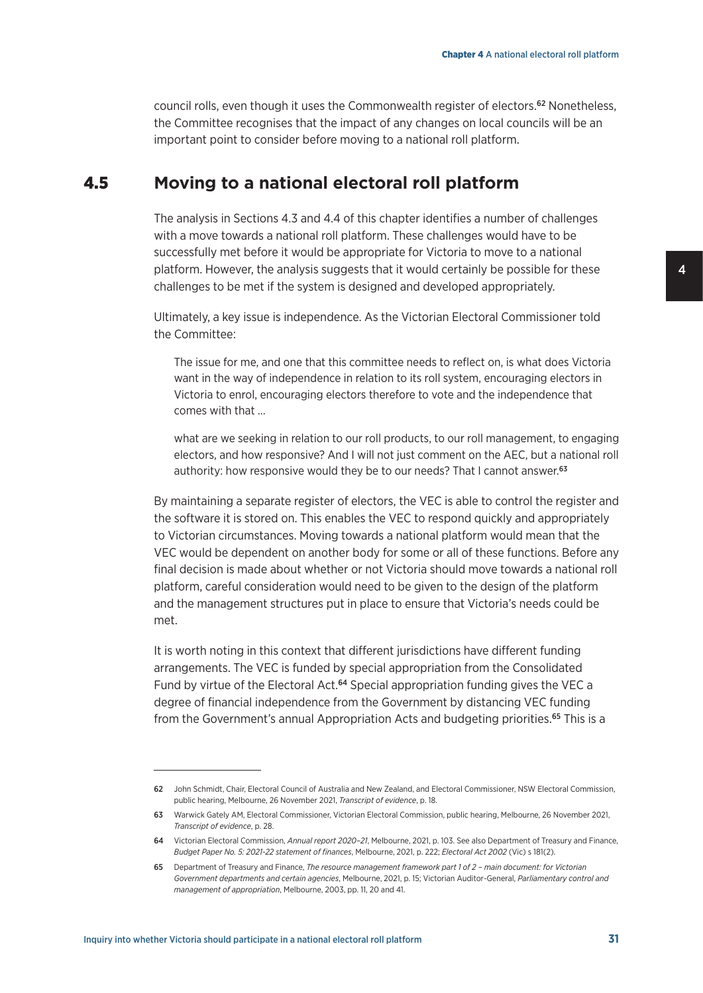<span id="page-44-0"></span>council rolls, even though it uses the Commonwealth register of electors.<sup>62</sup> Nonetheless, the Committee recognises that the impact of any changes on local councils will be an important point to consider before moving to a national roll platform.

### 4.5 **Moving to a national electoral roll platform**

The analysis in Sections 4.3 and 4.4 of this chapter identifies a number of challenges with a move towards a national roll platform. These challenges would have to be successfully met before it would be appropriate for Victoria to move to a national platform. However, the analysis suggests that it would certainly be possible for these challenges to be met if the system is designed and developed appropriately.

Ultimately, a key issue is independence. As the Victorian Electoral Commissioner told the Committee:

The issue for me, and one that this committee needs to reflect on, is what does Victoria want in the way of independence in relation to its roll system, encouraging electors in Victoria to enrol, encouraging electors therefore to vote and the independence that comes with that …

what are we seeking in relation to our roll products, to our roll management, to engaging electors, and how responsive? And I will not just comment on the AEC, but a national roll authority: how responsive would they be to our needs? That I cannot answer.<sup>63</sup>

By maintaining a separate register of electors, the VEC is able to control the register and the software it is stored on. This enables the VEC to respond quickly and appropriately to Victorian circumstances. Moving towards a national platform would mean that the VEC would be dependent on another body for some or all of these functions. Before any final decision is made about whether or not Victoria should move towards a national roll platform, careful consideration would need to be given to the design of the platform and the management structures put in place to ensure that Victoria's needs could be met.

It is worth noting in this context that different jurisdictions have different funding arrangements. The VEC is funded by special appropriation from the Consolidated Fund by virtue of the Electoral Act.<sup>64</sup> Special appropriation funding gives the VEC a degree of financial independence from the Government by distancing VEC funding from the Government's annual Appropriation Acts and budgeting priorities.<sup>65</sup> This is a

<sup>62</sup> John Schmidt, Chair, Electoral Council of Australia and New Zealand, and Electoral Commissioner, NSW Electoral Commission, public hearing, Melbourne, 26 November 2021, *Transcript of evidence*, p. 18.

<sup>63</sup> Warwick Gately AM, Electoral Commissioner, Victorian Electoral Commission, public hearing, Melbourne, 26 November 2021, *Transcript of evidence*, p. 28.

<sup>64</sup> Victorian Electoral Commission, *Annual report 2020–21*, Melbourne, 2021, p. 103. See also Department of Treasury and Finance, *Budget Paper No. 5: 2021-22 statement of finances*, Melbourne, 2021, p. 222; *Electoral Act 2002* (Vic) s 181(2).

<sup>65</sup> Department of Treasury and Finance, *The resource management framework part 1 of 2 – main document: for Victorian Government departments and certain agencies*, Melbourne, 2021, p. 15; Victorian Auditor-General, *Parliamentary control and management of appropriation*, Melbourne, 2003, pp. 11, 20 and 41.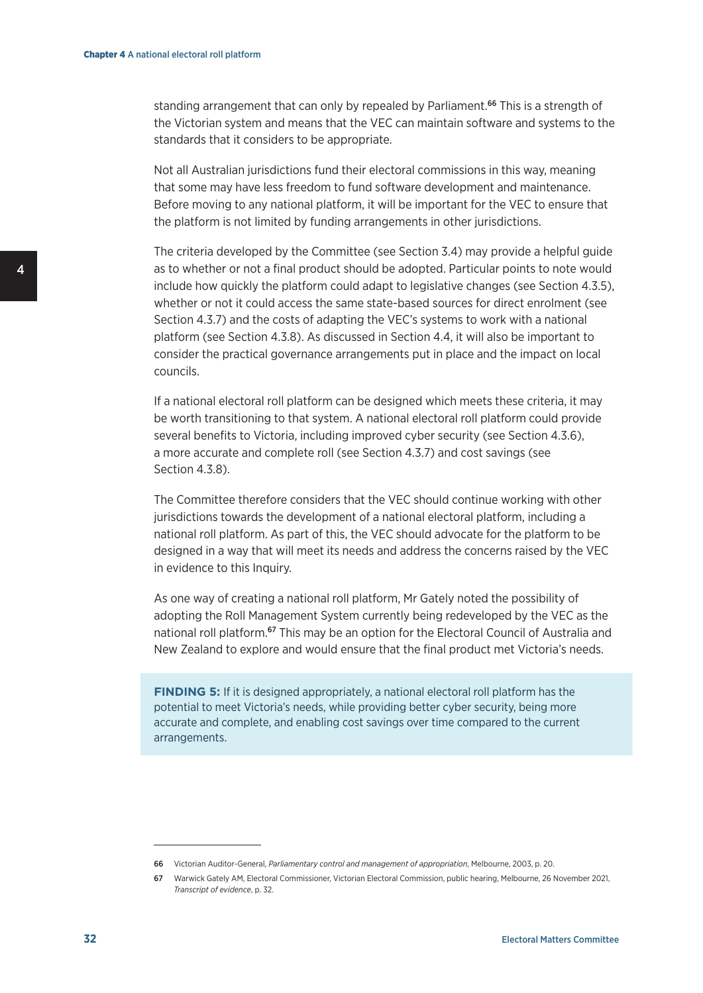<span id="page-45-0"></span>standing arrangement that can only by repealed by Parliament.<sup>66</sup> This is a strength of the Victorian system and means that the VEC can maintain software and systems to the standards that it considers to be appropriate.

Not all Australian jurisdictions fund their electoral commissions in this way, meaning that some may have less freedom to fund software development and maintenance. Before moving to any national platform, it will be important for the VEC to ensure that the platform is not limited by funding arrangements in other jurisdictions.

The criteria developed by the Committee (see Section 3.4) may provide a helpful guide as to whether or not a final product should be adopted. Particular points to note would include how quickly the platform could adapt to legislative changes (see Section 4.3.5), whether or not it could access the same state-based sources for direct enrolment (see Section 4.3.7) and the costs of adapting the VEC's systems to work with a national platform (see Section 4.3.8). As discussed in Section 4.4, it will also be important to consider the practical governance arrangements put in place and the impact on local councils.

If a national electoral roll platform can be designed which meets these criteria, it may be worth transitioning to that system. A national electoral roll platform could provide several benefits to Victoria, including improved cyber security (see Section 4.3.6), a more accurate and complete roll (see Section 4.3.7) and cost savings (see Section 4.3.8).

The Committee therefore considers that the VEC should continue working with other jurisdictions towards the development of a national electoral platform, including a national roll platform. As part of this, the VEC should advocate for the platform to be designed in a way that will meet its needs and address the concerns raised by the VEC in evidence to this Inquiry.

As one way of creating a national roll platform, Mr Gately noted the possibility of adopting the Roll Management System currently being redeveloped by the VEC as the national roll platform.<sup>67</sup> This may be an option for the Electoral Council of Australia and New Zealand to explore and would ensure that the final product met Victoria's needs.

**FINDING 5:** If it is designed appropriately, a national electoral roll platform has the potential to meet Victoria's needs, while providing better cyber security, being more accurate and complete, and enabling cost savings over time compared to the current arrangements.

<sup>66</sup> Victorian Auditor-General, *Parliamentary control and management of appropriation*, Melbourne, 2003, p. 20.

<sup>67</sup> Warwick Gately AM, Electoral Commissioner, Victorian Electoral Commission, public hearing, Melbourne, 26 November 2021, *Transcript of evidence*, p. 32.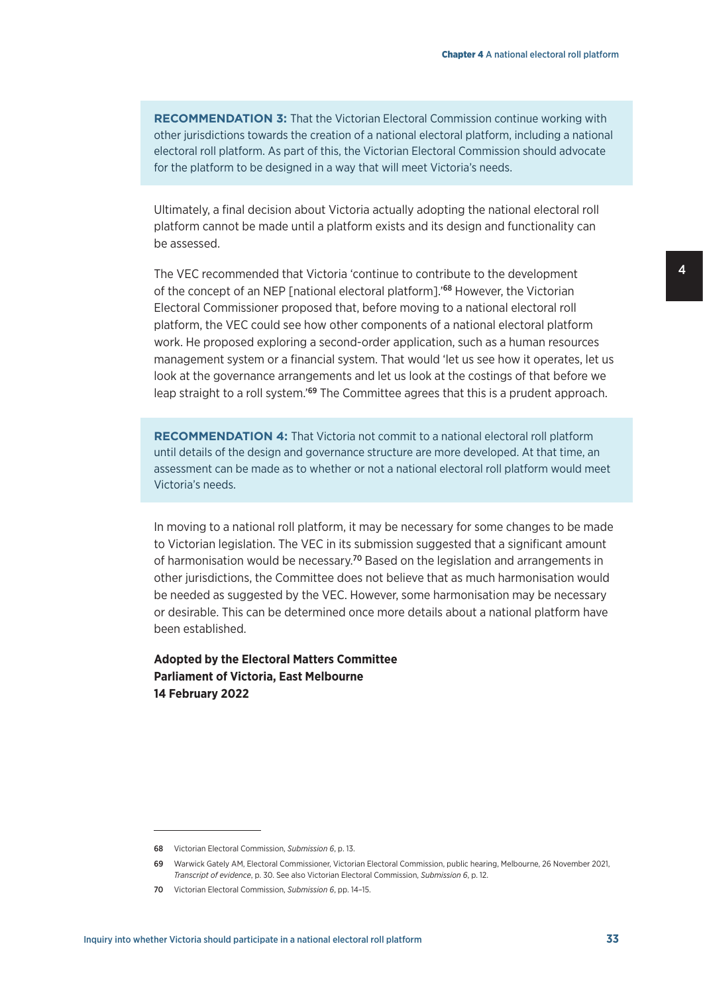<span id="page-46-0"></span>**RECOMMENDATION 3:** That the Victorian Electoral Commission continue working with other jurisdictions towards the creation of a national electoral platform, including a national electoral roll platform. As part of this, the Victorian Electoral Commission should advocate for the platform to be designed in a way that will meet Victoria's needs.

Ultimately, a final decision about Victoria actually adopting the national electoral roll platform cannot be made until a platform exists and its design and functionality can be assessed.

The VEC recommended that Victoria 'continue to contribute to the development of the concept of an NEP [national electoral platform].'<sup>68</sup> However, the Victorian Electoral Commissioner proposed that, before moving to a national electoral roll platform, the VEC could see how other components of a national electoral platform work. He proposed exploring a second-order application, such as a human resources management system or a financial system. That would 'let us see how it operates, let us look at the governance arrangements and let us look at the costings of that before we leap straight to a roll system.<sup>'69</sup> The Committee agrees that this is a prudent approach.

**RECOMMENDATION 4:** That Victoria not commit to a national electoral roll platform until details of the design and governance structure are more developed. At that time, an assessment can be made as to whether or not a national electoral roll platform would meet Victoria's needs.

In moving to a national roll platform, it may be necessary for some changes to be made to Victorian legislation. The VEC in its submission suggested that a significant amount of harmonisation would be necessary.<sup>70</sup> Based on the legislation and arrangements in other jurisdictions, the Committee does not believe that as much harmonisation would be needed as suggested by the VEC. However, some harmonisation may be necessary or desirable. This can be determined once more details about a national platform have been established.

**Adopted by the Electoral Matters Committee Parliament of Victoria, East Melbourne 14 February 2022**

<sup>68</sup> Victorian Electoral Commission, *Submission 6*, p. 13.

<sup>69</sup> Warwick Gately AM, Electoral Commissioner, Victorian Electoral Commission, public hearing, Melbourne, 26 November 2021, *Transcript of evidence*, p. 30. See also Victorian Electoral Commission, *Submission 6*, p. 12.

<sup>70</sup> Victorian Electoral Commission, *Submission 6*, pp. 14–15.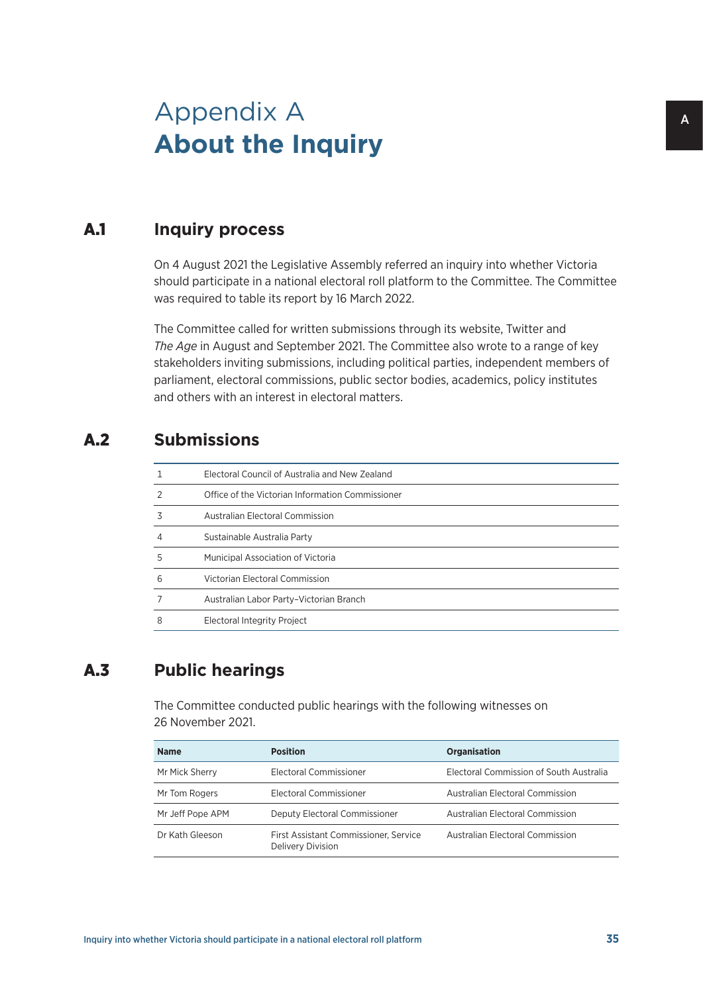## <span id="page-48-0"></span>Appendix A <sup>A</sup> **About the Inquiry**

## A.1 **Inquiry process**

On 4 August 2021 the Legislative Assembly referred an inquiry into whether Victoria should participate in a national electoral roll platform to the Committee. The Committee was required to table its report by 16 March 2022.

The Committee called for written submissions through its website, Twitter and *The Age* in August and September 2021. The Committee also wrote to a range of key stakeholders inviting submissions, including political parties, independent members of parliament, electoral commissions, public sector bodies, academics, policy institutes and others with an interest in electoral matters.

## A.2 **Submissions**

| 1 | Electoral Council of Australia and New Zealand   |
|---|--------------------------------------------------|
| 2 | Office of the Victorian Information Commissioner |
| 3 | Australian Electoral Commission                  |
| 4 | Sustainable Australia Party                      |
| 5 | Municipal Association of Victoria                |
| 6 | Victorian Electoral Commission                   |
| 7 | Australian Labor Party-Victorian Branch          |
| 8 | <b>Electoral Integrity Project</b>               |

## A.3 **Public hearings**

The Committee conducted public hearings with the following witnesses on 26 November 2021.

| <b>Name</b>      | <b>Position</b>                                                   | <b>Organisation</b>                     |
|------------------|-------------------------------------------------------------------|-----------------------------------------|
| Mr Mick Sherry   | Electoral Commissioner                                            | Electoral Commission of South Australia |
| Mr Tom Rogers    | Electoral Commissioner                                            | <b>Australian Electoral Commission</b>  |
| Mr Jeff Pope APM | Deputy Electoral Commissioner                                     | Australian Electoral Commission         |
| Dr Kath Gleeson  | First Assistant Commissioner, Service<br><b>Delivery Division</b> | Australian Electoral Commission         |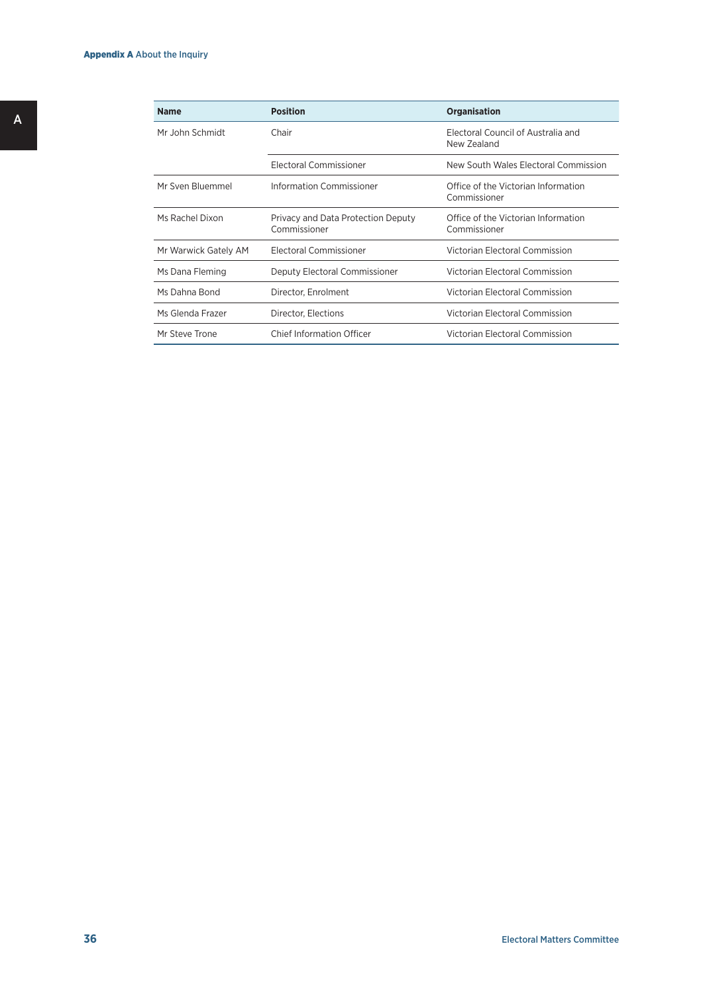| Α | <b>Name</b>          | <b>Position</b>                                    | <b>Organisation</b>                                 |
|---|----------------------|----------------------------------------------------|-----------------------------------------------------|
|   | Mr John Schmidt      | Chair                                              | Electoral Council of Australia and<br>New Zealand   |
|   |                      | Electoral Commissioner                             | New South Wales Electoral Commission                |
|   | Mr Sven Bluemmel     | Information Commissioner                           | Office of the Victorian Information<br>Commissioner |
|   | Ms Rachel Dixon      | Privacy and Data Protection Deputy<br>Commissioner | Office of the Victorian Information<br>Commissioner |
|   | Mr Warwick Gately AM | Electoral Commissioner                             | Victorian Electoral Commission                      |
|   | Ms Dana Fleming      | Deputy Electoral Commissioner                      | Victorian Electoral Commission                      |
|   | Ms Dahna Bond        | Director, Enrolment                                | Victorian Electoral Commission                      |
|   | Ms Glenda Frazer     | Director, Elections                                | Victorian Electoral Commission                      |
|   | Mr Steve Trone       | Chief Information Officer                          | Victorian Electoral Commission                      |